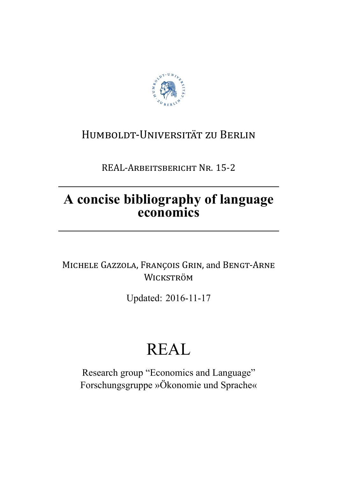

## HUMBOLDT-UNIVERSITÄT ZU BERLIN

REAL-ARBEITSBERICHT NR. 15-2

# A concise bibliography of language economics

MICHELE GAZZOLA, FRANÇOIS GRIN, and BENGT-ARNE WICKSTRÖM

Updated: 2016-11-17

# **REAL**

Research group "Economics and Language" Forschungsgruppe »Ökonomie und Sprache«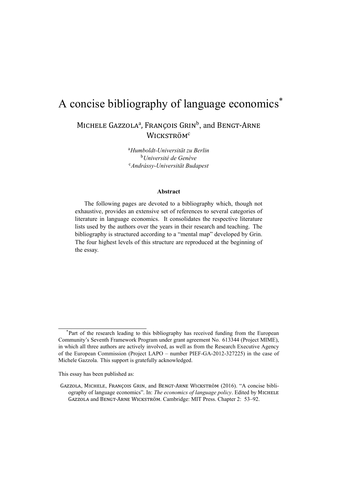# A concise bibliography of language economics<sup>\*</sup> MICHELE GAZZOLA<sup>a</sup>, FRANÇOIS GRIN<sup>b</sup>, and BENGT-ARNE WICKSTRÖM<sup>c</sup>

<sup>a</sup>*Humboldt-Universität zu Berlin* <sup>b</sup>*Université de Genève* <sup>c</sup>*Andrássy-Universität Budapest*

### **Abstract**

The following pages are devoted to a bibliography which, though not exhaustive, provides an extensive set of references to several categories of literature in language economics. It consolidates the respective literature lists used by the authors over the years in their research and teaching. The bibliography is structured according to a "mental map" developed by Grin. The four highest levels of this structure are reproduced at the beginning of the essay.

This essay has been published as:

<sup>\*</sup>Part of the research leading to this bibliography has received funding from the European Community's Seventh Framework Program under grant agreement No. 613344 (Project MIME), in which all three authors are actively involved, as well as from the Research Executive Agency of the European Commission (Project LAPO – number PIEF-GA-2012-327225) in the case of Michele Gazzola. This support is gratefully acknowledged.

GAZZOLA, MICHELE, FRANÇOIS GRIN, and BENGT-ARNE WICKSTRÖM (2016). "A concise bibliography of language economics". In: *The economics of language policy*. Edited by MICHELE GAZZOLA and BENGT-ARNE WICKSTRÖM. Cambridge: MIT Press. Chapter 2: 53–92.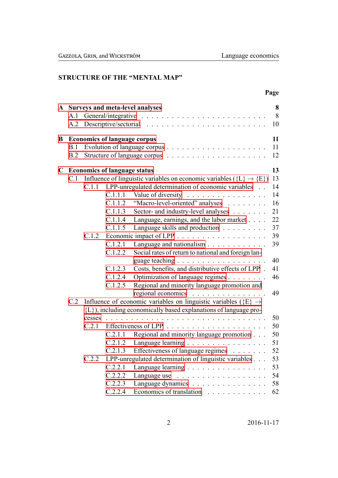### STRUCTURE OF THE "MENTAL MAP"

|    |            |                                     |                                                                                                                                                   |                                                                                                                                                                                                                                                                                                                                                                                                                                                                                                                                                                                                                | Page                                                                             |
|----|------------|-------------------------------------|---------------------------------------------------------------------------------------------------------------------------------------------------|----------------------------------------------------------------------------------------------------------------------------------------------------------------------------------------------------------------------------------------------------------------------------------------------------------------------------------------------------------------------------------------------------------------------------------------------------------------------------------------------------------------------------------------------------------------------------------------------------------------|----------------------------------------------------------------------------------|
| A  | A.1        |                                     |                                                                                                                                                   | <b>Surveys and meta-level analyses</b>                                                                                                                                                                                                                                                                                                                                                                                                                                                                                                                                                                         | 8<br>8<br>10                                                                     |
| B  | B.1<br>B.2 | <b>Economics of language corpus</b> |                                                                                                                                                   |                                                                                                                                                                                                                                                                                                                                                                                                                                                                                                                                                                                                                | 11<br>11<br>12                                                                   |
| C) | C.1        | C.1.1<br>C.1.2                      | <b>Economics of language status</b><br>C.1.1.1<br>C.1.1.2<br>C.1.1.3<br>C.1.1.4<br>C.1.1.5<br>C.1.2.1<br>C.1.2.2<br>C.1.2.3<br>C.1.2.4<br>C.1.2.5 | Influence of linguistic variables on economic variables ( $\{L\} \rightarrow \{E\}$ )<br>LPP-unregulated determination of economic variables<br>Value of diversity<br>"Macro-level-oriented" analyses<br>Sector- and industry-level analyses<br>Language, earnings, and the labor market<br>Language skills and production<br>Social rates of return to national and foreign lan-<br>guage teaching $\ldots \ldots \ldots \ldots \ldots \ldots$<br>Costs, benefits, and distributive effects of LPP.<br>Optimization of language regimes<br>Regional and minority language promotion and<br>regional economics | 13<br>13<br>14<br>14<br>16<br>21<br>22<br>37<br>39<br>39<br>40<br>41<br>46<br>49 |
|    | C.2        | cesses<br>C.2.1<br>C.2.2            | C.2.1.1<br>C.2.1.3<br>C.2.2.1<br>C.2.2.2<br>C.2.2.3<br>C.2.2.4                                                                                    | Influence of economic variables on linguistic variables ( $\{E\} \rightarrow$<br>{L}), including economically based explanations of language pro-<br>Regional and minority language promotion<br>C.2.1.2 Language learning<br>Effectiveness of language regimes<br>LPP-unregulated determination of linguistic variables<br>Language learning<br>Language dynamics<br>Economics of translation                                                                                                                                                                                                                 | 50<br>50<br>50<br>51<br>52<br>53<br>53<br>54<br>58<br>62                         |

 $2016 - 11 - 17$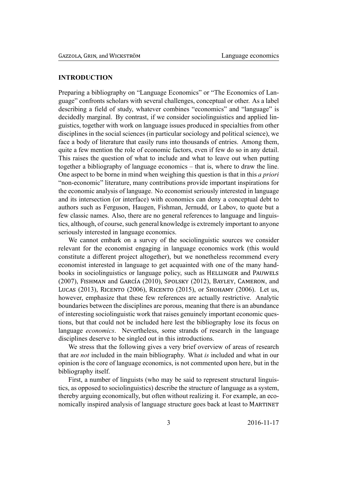### **INTRODUCTION**

Preparing a bibliography on "Language Economics" or "The Economics of Language" confronts scholars with several challenges, conceptual or other. As a label describing a field of study, whatever combines "economics" and "language" is decidedly marginal. By contrast, if we consider sociolinguistics and applied linguistics, together with work on language issues produced in specialties from other disciplines in the social sciences (in particular sociology and political science), we face a body of literature that easily runs into thousands of entries. Among them, quite a few mention the role of economic factors, even if few do so in any detail. This raises the question of what to include and what to leave out when putting together a bibliography of language economics – that is, where to draw the line. One aspect to be borne in mind when weighing this question is that in this *a priori* "non-economic" literature, many contributions provide important inspirations for the economic analysis of language. No economist seriously interested in language and its intersection (or interface) with economics can deny a conceptual debt to authors such as Ferguson, Haugen, Fishman, Jernudd, or Labov, to quote but a few classic names. Also, there are no general references to language and linguistics, although, of course, such general knowledge is extremely important to anyone seriously interested in language economics.

We cannot embark on a survey of the sociolinguistic sources we consider relevant for the economist engaging in language economics work (this would constitute a different project altogether), but we nonetheless recommend every economist interested in language to get acquainted with one of the many handbooks in sociolinguistics or language policy, such as HELLINGER and PAUWELS (2007), FISHMAN and GARCÍA (2010), SPOLSKY (2012), BAYLEY, CAMERON, and LUCAS (2013), RICENTO (2006), RICENTO (2015), or SHOHAMY (2006). Let us. however, emphasize that these few references are actually restrictive. Analytic boundaries between the disciplines are porous, meaning that there is an abundance of interesting sociolinguistic work that raises genuinely important economic questions, but that could not be included here lest the bibliography lose its focus on language economics. Nevertheless, some strands of research in the language disciplines deserve to be singled out in this introductions.

We stress that the following gives a very brief overview of areas of research that are *not* included in the main bibliography. What is included and what in our opinion is the core of language economics, is not commented upon here, but in the bibliography itself.

First, a number of linguists (who may be said to represent structural linguistics, as opposed to sociolinguistics) describe the structure of language as a system, thereby arguing economically, but often without realizing it. For example, an economically inspired analysis of language structure goes back at least to MARTINET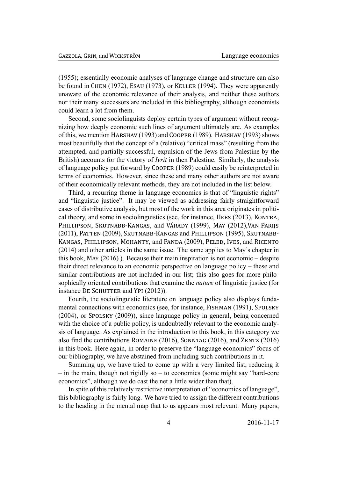(1955); essentially economic analyses of language change and structure can also be found in CHEN (1972), ESAU (1973), or KELLER (1994). They were apparently unaware of the economic relevance of their analysis, and neither these authors nor their many successors are included in this bibliography, although economists could learn a lot from them.

Second, some sociolinguists deploy certain types of argument without recognizing how deeply economic such lines of argument ultimately are. As examples of this, we mention HARSHAV (1993) and COOPER (1989). HARSHAV (1993) shows most beautifully that the concept of a (relative) "critical mass" (resulting from the attempted, and partially successful, expulsion of the Jews from Palestine by the British) accounts for the victory of *Ivrit* in then Palestine. Similarly, the analysis of language policy put forward by COOPER (1989) could easily be reinterpreted in terms of economics. However, since these and many other authors are not aware of their economically relevant methods, they are not included in the list below.

Third, a recurring theme in language economics is that of "linguistic rights" and "linguistic justice". It may be viewed as addressing fairly straightforward cases of distributive analysis, but most of the work in this area originates in political theory, and some in sociolinguistics (see, for instance, HEES (2013), KONTRA, PHILLIPSON, SKUTNABB-KANGAS, and VÁRADY (1999), MAY (2012), VAN PARIJS (2011), PATTEN (2009), SKUTNABB-KANGAS and PHILLIPSON (1995), SKUTNABB-KANGAS, PHILLIPSON, MOHANTY, and PANDA (2009), PELED, IVES, and RICENTO (2014) and other articles in the same issue. The same applies to May's chapter in this book, MAY  $(2016)$ ). Because their main inspiration is not economic – despite their direct relevance to an economic perspective on language policy – these and similar contributions are not included in our list; this also goes for more philosophically oriented contributions that examine the *nature* of linguistic justice (for instance DE SCHUTTER and YPI (2012)).

Fourth, the sociolinguistic literature on language policy also displays fundamental connections with economics (see, for instance, FISHMAN (1991), SPOLSKY (2004), or SPOLSKY (2009)), since language policy in general, being concerned with the choice of a public policy, is undoubtedly relevant to the economic analysis of language. As explained in the introduction to this book, in this category we also find the contributions ROMAINE  $(2016)$ , SONNTAG  $(2016)$ , and ZENTZ  $(2016)$ in this book. Here again, in order to preserve the "language economics" focus of our bibliography, we have abstained from including such contributions in it.

Summing up, we have tried to come up with a very limited list, reducing it  $-$  in the main, though not rigidly so  $-$  to economics (some might say "hard-core economics", although we do cast the net a little wider than that).

In spite of this relatively restrictive interpretation of "economics of language". this bibliography is fairly long. We have tried to assign the different contributions to the heading in the mental map that to us appears most relevant. Many papers,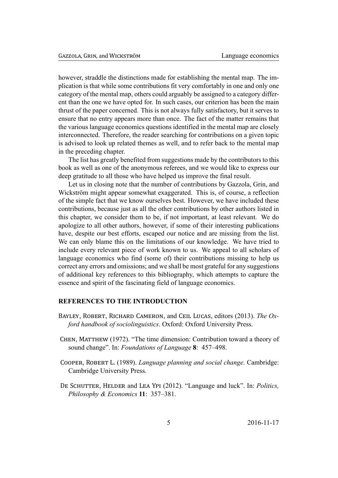however, straddle the distinctions made for establishing the mental map. The implication is that while some contributions fit very comfortably in one and only one category of the mental map, others could arguably be assigned to a category different than the one we have opted for. In such cases, our criterion has been the main thrust of the paper concerned. This is not always fully satisfactory, but it serves to ensure that no entry appears more than once. The fact of the matter remains that the various language economics questions identified in the mental map are closely interconnected. Therefore, the reader searching for contributions on a given topic is advised to look up related themes as well, and to refer back to the mental map in the preceding chapter.

The list has greatly benefited from suggestions made by the contributors to this book as well as one of the anonymous referees, and we would like to express our deep gratitude to all those who have helped us improve the final result.

Let us in closing note that the number of contributions by Gazzola, Grin, and Wickström might appear somewhat exaggerated. This is, of course, a reflection of the simple fact that we know ourselves best. However, we have included these contributions, because just as all the other contributions by other authors listed in this chapter, we consider them to be, if not important, at least relevant. We do apologize to all other authors, however, if some of their interesting publications have, despite our best efforts, escaped our notice and are missing from the list. We can only blame this on the limitations of our knowledge. We have tried to include every relevant piece of work known to us. We appeal to all scholars of language economics who find (some of) their contributions missing to help us correct any errors and omissions; and we shall be most grateful for any suggestions of additional key references to this bibliography, which attempts to capture the essence and spirit of the fascinating field of language economics.

### **REFERENCES TO THE INTRODUCTION**

- BAYLEY, ROBERT, RICHARD CAMERON, and CEIL LUCAS, editors (2013). *The Oxford handbook of sociolinguistics*. Oxford: Oxford University Press.
- CHEN. MATTHEW  $(1972)$ . "The time dimension: Contribution toward a theory of sound change". In: *Foundations of Language* **8**: 457–498.
- COOPER, ROBERT L. (1989). *Language planning and social change*. Cambridge: Cambridge University Press.
- DE SCHUTTER, HELDER and LEA YPI (2012). "Language and luck". In: *Politics*, *Philosophy & Economics* **11**: 357–381.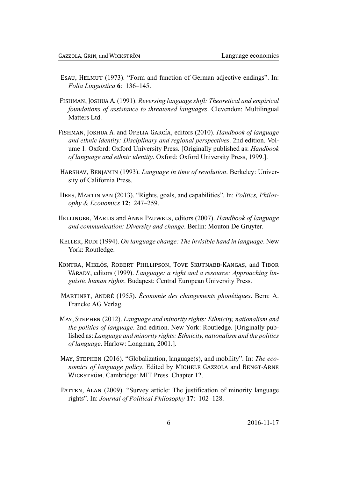- ESAU, HELMUT (1973). "Form and function of German adjective endings". In: Folia Linguistica 6: 136-145.
- FISHMAN, JOSHUA A. (1991). Reversing language shift: Theoretical and empirical foundations of assistance to threatened languages. Clevendon: Multilingual Matters Ltd.
- FISHMAN, JOSHUA A. and OFELIA GARCÍA, editors (2010). Handbook of language and ethnic identity: Disciplinary and regional perspectives. 2nd edition. Volume 1. Oxford: Oxford University Press. [Originally published as: *Handbook* of language and ethnic identity. Oxford: Oxford University Press, 1999.].
- HARSHAV, BENJAMIN (1993). Language in time of revolution. Berkeley: University of California Press.
- HEES, MARTIN VAN (2013). "Rights, goals, and capabilities". In: Politics, Philosophy & Economics 12: 247-259.
- HELLINGER, MARLIS and ANNE PAUWELS, editors (2007). Handbook of language and communication: Diversity and change. Berlin: Mouton De Gruyter.
- KELLER, RUDI (1994). On language change: The invisible hand in language. New York: Routledge.
- KONTRA, MIKLÓS, ROBERT PHILLIPSON, TOVE SKUTNABB-KANGAS, and TIBOR VÁRADY, editors (1999). Language: a right and a resource: Approaching linguistic human rights. Budapest: Central European University Press.
- MARTINET, ANDRÉ (1955). Économie des changements phonétiques. Bern: A. Francke AG Verlag.
- MAY, STEPHEN (2012). Language and minority rights: Ethnicity, nationalism and the politics of language. 2nd edition. New York: Routledge. [Originally published as: Language and minority rights: Ethnicity, nationalism and the politics *of language.* Harlow: Longman, 2001.].
- MAY, STEPHEN (2016). "Globalization, language(s), and mobility". In: The economics of language policy. Edited by MICHELE GAZZOLA and BENGT-ARNE WICKSTRÖM. Cambridge: MIT Press. Chapter 12.
- PATTEN, ALAN (2009). "Survey article: The justification of minority language rights". In: Journal of Political Philosophy 17: 102-128.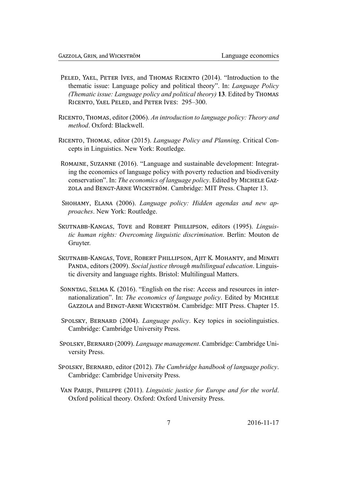- PELED, YAEL, PETER IVES, and THOMAS RICENTO (2014). "Introduction to the thematic issue: Language policy and political theory". In: *Language Policy* (Thematic issue: Language policy and political theory) 13. Edited by THOMAS RICENTO, YAEL PELED, and PETER IVES: 295-300.
- RICENTO, THOMAS, editor (2006). An introduction to language policy: Theory and *method*, Oxford: Blackwell.
- RICENTO, THOMAS, editor (2015). Language Policy and Planning. Critical Concepts in Linguistics. New York: Routledge.
- ROMAINE, SUZANNE (2016). "Language and sustainable development: Integrating the economics of language policy with poverty reduction and biodiversity conservation". In: The economics of language policy. Edited by MICHELE GAZ-ZOLA and BENGT-ARNE WICKSTRÖM. Cambridge: MIT Press. Chapter 13.
- SHOHAMY, ELANA (2006). Language policy: Hidden agendas and new approaches. New York: Routledge.
- SKUTNABB-KANGAS, TOVE and ROBERT PHILLIPSON, editors (1995). Linguistic human rights: Overcoming linguistic discrimination. Berlin: Mouton de Gruyter.
- SKUTNABB-KANGAS, TOVE, ROBERT PHILLIPSON, AJIT K. MOHANTY, and MINATI PANDA, editors (2009). Social justice through multilingual education. Linguistic diversity and language rights. Bristol: Multilingual Matters.
- SONNTAG, SELMA K. (2016). "English on the rise: Access and resources in internationalization". In: The economics of language policy. Edited by MICHELE GAZZOLA and BENGT-ARNE WICKSTRÖM. Cambridge: MIT Press. Chapter 15.
- SPOLSKY, BERNARD (2004). Language policy. Key topics in sociolinguistics. Cambridge: Cambridge University Press.
- SPOLSKY, BERNARD (2009). Language management. Cambridge: Cambridge University Press.
- SPOLSKY, BERNARD, editor (2012). The Cambridge handbook of language policy. Cambridge: Cambridge University Press.
- VAN PARIJS, PHILIPPE (2011). Linguistic justice for Europe and for the world. Oxford political theory. Oxford: Oxford University Press.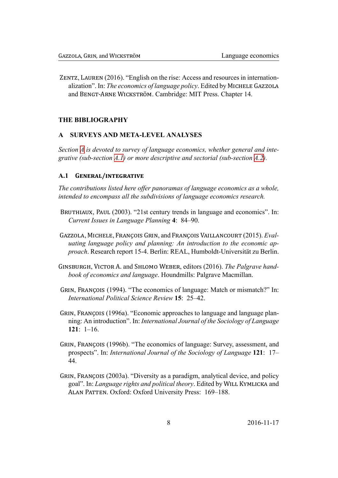ZENTZ, LAUREN (2016). "English on the rise: Access and resources in internationalization". In: The economics of language policy. Edited by MICHELE GAZZOLA and BENGT-ARNE WICKSTRÖM. Cambridge: MIT Press. Chapter 14.

### **THE BIBLIOGRAPHY**

### **SURVEYS AND META-LEVEL ANALYSES**

<span id="page-8-0"></span>Section A is devoted to survey of language economics, whether general and integrative (sub-section A.1) or more descriptive and sectorial (sub-section  $A.2$ ).

### A.1 GENERAL/INTEGRATIVE

<span id="page-8-1"></span>The contributions listed here offer panoramas of language economics as a whole, intended to encompass all the subdivisions of language economics research.

- BRUTHIAUX, PAUL (2003). "21st century trends in language and economics". In: Current Issues in Language Planning 4: 84–90.
- GAZZOLA, MICHELE, FRANÇOIS GRIN, and FRANÇOIS VAILLANCOURT (2015). Evaluating language policy and planning: An introduction to the economic ap*proach.* Research report 15-4. Berlin: REAL, Humboldt-Universität zu Berlin.
- GINSBURGH, VICTOR A. and SHLOMO WEBER, editors (2016). The Palgrave handbook of economics and language. Houndmills: Palgrave Macmillan.
- GRIN, FRANCOIS (1994). "The economics of language: Match or mismatch?" In: International Political Science Review 15: 25–42.
- GRIN, FRANÇOIS (1996a). "Economic approaches to language and language planning: An introduction". In: International Journal of the Sociology of Language  $121: 1-16.$
- GRIN, FRANÇOIS (1996b). "The economics of language: Survey, assessment, and prospects". In: International Journal of the Sociology of Language 121: 17– 44
- GRIN, FRANCOIS (2003a). "Diversity as a paradigm, analytical device, and policy goal". In: Language rights and political theory. Edited by WILL KYMLICKA and ALAN PATTEN. Oxford: Oxford University Press: 169–188.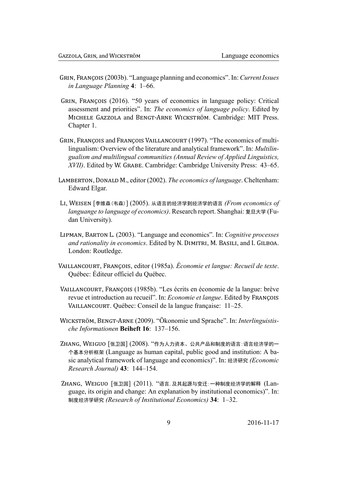- GRIN, FRANCOIS (2003b). "Language planning and economics". In: Current Issues in Language Planning 4: 1–66.
- GRIN, FRANÇOIS (2016). "50 years of economics in language policy: Critical assessment and priorities". In: The economics of language policy. Edited by MICHELE GAZZOLA and BENGT-ARNE WICKSTRÖM. Cambridge: MIT Press. Chapter 1.
- GRIN, FRANÇOIS and FRANÇOIS VAILLANCOURT (1997). "The economics of multilingualism: Overview of the literature and analytical framework". In: *Multilin*gualism and multilingual communities (Annual Review of Applied Linguistics, XVII). Edited by W. GRABE. Cambridge: Cambridge University Press: 43–65.
- LAMBERTON, DONALD M., editor (2002). The economics of language. Cheltenham: Edward Elgar.
- LI, WEISEN [李维森(韦森)] (2005). 从语言的经济学到经济学的语言 (From economics of languange to language of economics). Research report. Shanghai: 复旦大学 (Fudan University).
- LIPMAN, BARTON L. (2003). "Language and economics". In: Cognitive processes and rationality in economics. Edited by N. DIMITRI, M. BASILI, and I. GILBOA. London: Routledge.
- VAILLANCOURT, FRANCOIS, editor (1985a), Économie et langue: Recueil de texte. Québec: Éditeur officiel du Québec.
- VAILLANCOURT, FRANCOIS (1985b). "Les écrits en économie de la langue: brève revue et introduction au recueil". In: *Economie et langue*. Edited by FRANCOIS VAILLANCOURT. Québec: Conseil de la langue française: 11–25.
- WICKSTRÖM, BENGT-ARNE (2009). "Ökonomie und Sprache". In: Interlinguistische Informationen Beiheft 16: 137-156.
- ZHANG, WEIGUO [张卫国] (2008). "作为人力资本、公共产品和制度的语言:语言经济学的一 个基本分析框架 (Language as human capital, public good and institution: A basic analytical framework of language and economics)". In: 经济研究 *(Economic*) Research Journal) 43: 144-154.
- ZHANG、WEIGUO「张卫国] (2011). "语言, 及其起源与变迁: 一种制度经济学的解释 (Language, its origin and change: An explanation by institutional economics)". In: 制度经济学研究 (Research of Institutional Economics) 34: 1-32.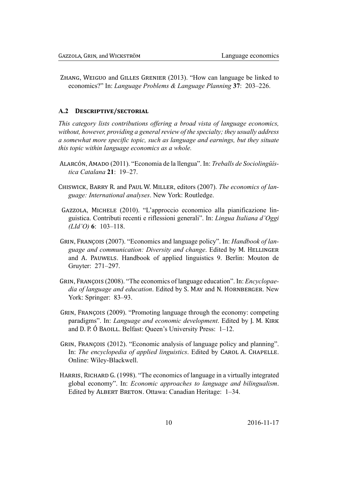ZHANG, WEIGUO and GILLES GRENIER (2013). "How can language be linked to economics?" In: Language Problems & Language Planning 37: 203–226.

#### <span id="page-10-0"></span>**DESCRIPTIVE/SECTORIAL**  $A.2$

This category lists contributions offering a broad vista of language economics, without, however, providing a general review of the specialty; they usually address a somewhat more specific topic, such as language and earnings, but they situate this topic within language economics as a whole.

- ALARCÓN, AMADO (2011). "Economia de la llengua". In: Treballs de Sociolingüística Catalana 21: 19-27.
- CHISWICK, BARRY R. and PAUL W. MILLER, editors (2007). The economics of language: International analyses. New York: Routledge.
- GAZZOLA, MICHELE (2010). "L'approccio economico alla pianificazione linguistica. Contributi recenti e riflessioni generali". In: Lingua Italiana d'Oggi  $(LId'O)$  6: 103-118.
- GRIN, FRANÇOIS (2007). "Economics and language policy". In: *Handbook of lan*guage and communication: Diversity and change. Edited by M. HELLINGER and A. PAUWELS. Handbook of applied linguistics 9. Berlin: Mouton de Gruyter: 271-297.
- GRIN, FRANÇOIS (2008). "The economics of language education". In: *Encyclopae*dia of language and education. Edited by S. MAY and N. HORNBERGER. New York: Springer: 83–93.
- GRIN, FRANCOIS (2009). "Promoting language through the economy: competing paradigms". In: *Language and economic development*. Edited by J. M. KIRK and D. P. Ó BAOILL. Belfast: Queen's University Press: 1–12.
- GRIN, FRANÇOIS (2012). "Economic analysis of language policy and planning". In: The encyclopedia of applied linguistics. Edited by CAROL A. CHAPELLE. Online: Wiley-Blackwell.
- HARRIS, RICHARD G. (1998). "The economics of language in a virtually integrated global economy". In: *Economic approaches to language and bilingualism*. Edited by ALBERT BRETON. Ottawa: Canadian Heritage: 1-34.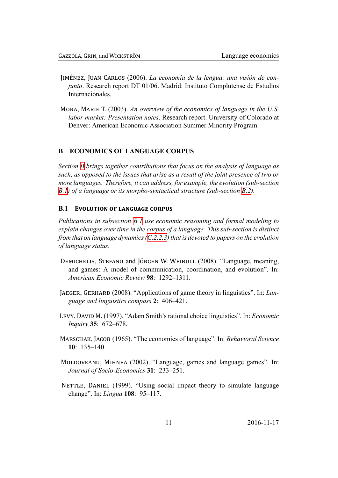- JIMÉNEZ, JUAN CARLOS (2006). *La economía de la lengua: una visión de conjunto*. Research report DT 01/06. Madrid: Instituto Complutense de Estudios Internacionales.
- MORA, MARIE T. (2003). An overview of the economics of language in the U.S. *labor market: Presentation notes*. Research report. University of Colorado at Denver: American Economic Association Summer Minority Program.

### **B ECONOMICS OF LANGUAGE CORPUS**

<span id="page-11-0"></span>*Section B brings together contributions that focus on the analysis of language as such, as opposed to the issues that arise as a result of the joint presence of two or more languages. Therefore, it can address, for example, the evolution (sub-section B.1) of [a l](#page-11-0)anguage or its morpho-syntactical structure (sub-section B.2).*

### **B.1 EVOLUTION OF LANGUAGE CORPUS**

<span id="page-11-1"></span>*[Pub](#page-11-1)lications in subsection B.1 use economic reasoning and form[al m](#page-12-0)odeling to explain changes over time in the corpus of a language. This sub-section is distinct from that on language dynamics (C.2.2.3) that is devoted to papers on the evolution of language status.*

- DEMICHELIS, STEFANO and JÖRGEN W. WEIBULL (2008). "Language, meaning, and games: A model of co[mmunic](#page-57-0)ation, coordination, and evolution". In: *American Economic Review* **98**: 1292–1311.
- JAEGER, GERHARD (2008). "Applications of game theory in linguistics". In: *Language and linguistics compass* **2**: 406–421.
- LEVY, DAVID M. (1997). "Adam Smith's rational choice linguistics". In: *Economic Inquiry* **35**: 672–678.
- MARSCHAK, JACOB (1965). "The economics of language". In: *Behavioral Science* **10**: 135–140.
- MOLDOVEANU, MIHNEA (2002). "Language, games and language games". In: *Journal of Socio-Economics* **31**: 233–251.
- NETTLE, DANIEL (1999). "Using social impact theory to simulate language change". In: *Lingua* **108**: 95–117.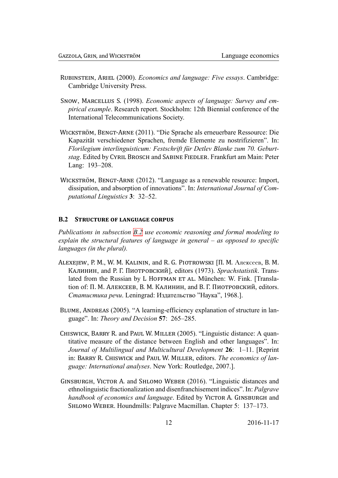- RUBINSTEIN, ARIEL (2000). *Economics and language: Five essays*. Cambridge: Cambridge University Press.
- SNOW, MARCELLUS S. (1998). *Economic aspects of language: Survey and em*pirical example. Research report. Stockholm: 12th Biennial conference of the International Telecommunications Society.
- WICKSTRÖM, BENGT-ARNE (2011). "Die Sprache als erneuerbare Ressource: Die Kapazität verschiedener Sprachen, fremde Elemente zu nostrifizieren". In: Florilegium interlinguisticum: Festschrift für Detlev Blanke zum 70. Geburtstag. Edited by CYRIL BROSCH and SABINE FIEDLER. Frankfurt am Main: Peter Lang: 193-208.
- WICKSTRÖM, BENGT-ARNE (2012). "Language as a renewable resource: Import, dissipation, and absorption of innovations". In: International Journal of Computational Linguistics 3: 32-52.

#### $B.2$ **STRUCTURE OF LANGUAGE CORPUS**

<span id="page-12-0"></span>Publications in subsection B.2 use economic reasoning and formal modeling to explain the structural features of language in general  $-$  as opposed to specific languages (in the plural).

- ALEXEJEW, P. M., W. M. KALININ, and R. G. PIOTROWSKI [П. М. Алексеев, В. М. КАЛИНИН, and Р. Г. ПИОТРОВСКИЙ], editors (1973). Sprachstatistik. Translated from the Russian by L HOFFMAN ET AL. München: W. Fink. [Translation of: П. М. АЛЕКСЕЕВ, В. М. КАЛИНИН, and В. Г. ПИОТРОВСКИЙ, editors. Статистика речи. Leningrad: Издательство "Наука", 1968.1.
- BLUME, ANDREAS (2005). "A learning-efficiency explanation of structure in language". In: Theory and Decision 57: 265–285.
- CHISWICK, BARRY R. and PAUL W. MILLER (2005). "Linguistic distance: A quantitative measure of the distance between English and other languages". In: Journal of Multilingual and Multicultural Development 26: 1-11. [Reprint in: BARRY R. CHISWICK and PAUL W. MILLER, editors. The economics of language: International analyses. New York: Routledge, 2007.].
- GINSBURGH, VICTOR A. and SHLOMO WEBER (2016). "Linguistic distances and ethnolinguistic fractionalization and disenfranchisement indices". In: Palgrave handbook of economics and language. Edited by VICTOR A. GINSBURGH and SHLOMO WEBER. Houndmills: Palgrave Macmillan. Chapter 5: 137–173.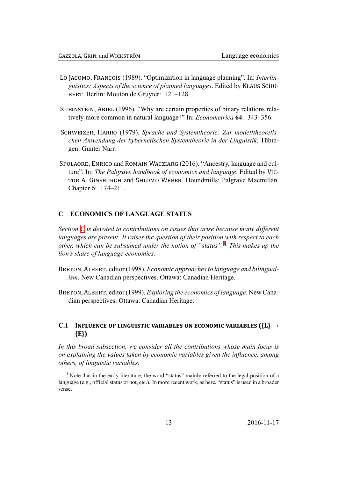- Lo JACOMO, FRANÇOIS (1989). "Optimization in language planning". In: *Interlin*guistics: Aspects of the science of planned languages. Edited by KLAUS SCHU-BERT. Berlin: Mouton de Gruyter: 121-128.
- RUBINSTEIN, ARIEL (1996). "Why are certain properties of binary relations relatively more common in natural language?" In: *Econometrica* 64: 343–356.
- SCHWEIZER, HARRO (1979). Sprache und Systemtheorie: Zur modelltheoretischen Anwendung der kybernetischen Systemtheorie in der Linguistik. Tübingen: Gunter Narr.
- SPOLAORE, ENRICO and ROMAIN WACZIARG (2016). "Ancestry, language and culture". In: The Palgrave handbook of economics and language. Edited by VIC-TOR A. GINSBURGH and SHLOMO WEBER. Houndmills: Palgrave Macmillan. Chapter 6: 174–211.

#### **ECONOMICS OF LANGUAGE STATUS**  $\mathbf C$

<span id="page-13-0"></span>Section C is devoted to contributions on issues that arise because many different languages are present. It raises the question of their position with respect to each other, which can be subsumed under the notion of "status".<sup>1</sup> This makes up the lion's share of language economics.

- BRETON, ALBERT, editor (1998). *Economic approaches to language and bilingualism.* New Canadian perspectives. Ottawa: Canadian Heritage.
- BRETON, ALBERT, editor (1999). *Exploring the economics of language*. New Canadian perspectives. Ottawa: Canadian Heritage.

### C.1 INFLUENCE OF LINGUISTIC VARIABLES ON ECONOMIC VARIABLES  $({L} \rightarrow$  $\{E\}$

<span id="page-13-1"></span>In this broad subsection, we consider all the contributions whose main focus is on explaining the values taken by economic variables given the influence, among others, of linguistic variables.

<span id="page-13-3"></span><span id="page-13-2"></span><sup>&</sup>lt;sup>1</sup> Note that in the early literature, the word "status" mainly referred to the legal position of a language (e.g., official status or not, etc.). In more recent work, as here, "status" is used in a broader sense.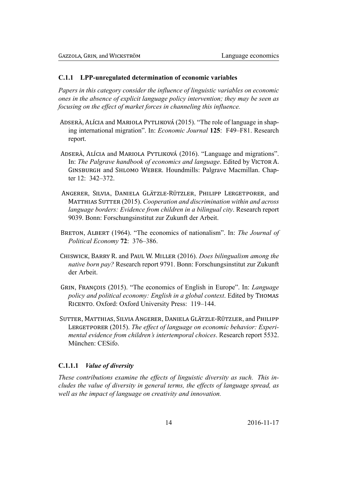#### LPP-unregulated determination of economic variables **C.1.1**

Papers in this category consider the influence of linguistic variables on economic ones in the absence of explicit language policy intervention; they may be seen as focusing on the effect of market forces in channeling this influence.

- ADSERÀ, ALÍCIA and MARIOLA PYTLIKOVÁ (2015). "The role of language in shaping international migration". In: Economic Journal 125: F49-F81. Research report.
- ADSERÀ, ALÍCIA and MARIOLA PYTLIKOVÁ (2016). "Language and migrations". In: The Palgrave handbook of economics and language. Edited by VICTOR A. GINSBURGH and SHLOMO WEBER. Houndmills: Palgrave Macmillan. Chapter  $12: 342 - 372$ .
- ANGERER, SILVIA, DANIELA GLÄTZLE-RÜTZLER, PHILIPP LERGETPORER, and MATTHIAS SUTTER (2015). Cooperation and discrimination within and across language borders: Evidence from children in a bilingual city. Research report 9039. Bonn: Forschungsinstitut zur Zukunft der Arbeit.
- BRETON, ALBERT (1964). "The economics of nationalism". In: The Journal of Political Economy 72: 376-386.
- CHISWICK, BARRY R. and PAUL W. MILLER (2016). Does bilingualism among the native born pay? Research report 9791. Bonn: Forschungsinstitut zur Zukunft der Arbeit.
- GRIN, FRANÇOIS (2015). "The economics of English in Europe". In: Language policy and political economy: English in a global context. Edited by THOMAS RICENTO. Oxford: Oxford University Press: 119-144.
- SUTTER, MATTHIAS, SILVIA ANGERER, DANIELA GLÄTZLE-RÜTZLER, and PHILIPP LERGETPORER (2015). The effect of language on economic behavior: Experimental evidence from children's intertemporal choices. Research report 5532. München: CESifo.

### <span id="page-14-0"></span>C.1.1.1 Value of diversity

These contributions examine the effects of linguistic diversity as such. This includes the value of diversity in general terms, the effects of language spread, as well as the impact of language on creativity and innovation.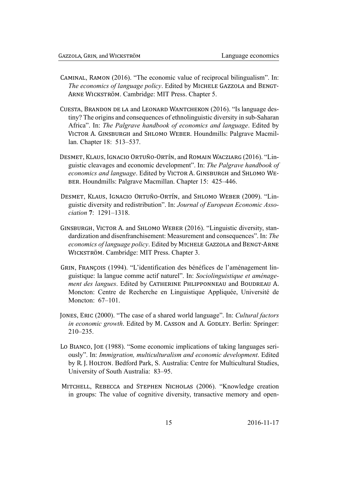- CAMINAL, RAMON (2016). "The economic value of reciprocal bilingualism". In: The economics of language policy. Edited by MICHELE GAZZOLA and BENGT-ARNE WICKSTRÖM. Cambridge: MIT Press. Chapter 5.
- CUESTA, BRANDON DE LA and LEONARD WANTCHEKON (2016). "Is language destiny? The origins and consequences of ethnolinguistic diversity in sub-Saharan Africa". In: The Palgrave handbook of economics and language. Edited by VICTOR A. GINSBURGH and SHLOMO WEBER, Houndmills: Palgrave Macmillan. Chapter 18: 513–537.
- DESMET, KLAUS, IGNACIO ORTUÑO-ORTÍN, and ROMAIN WACZIARG (2016). "Linguistic cleavages and economic development". In: The Palgrave handbook of economics and language. Edited by VICTOR A. GINSBURGH and SHLOMO WE-BER. Houndmills: Palgrave Macmillan. Chapter 15: 425–446.
- DESMET, KLAUS, IGNACIO ORTUÑO-ORTÍN, and SHLOMO WEBER (2009). "Linguistic diversity and redistribution". In: Journal of European Economic Asso*ciation*  $7 \cdot 1291 - 1318$
- GINSBURGH, VICTOR A. and SHLOMO WEBER (2016). "Linguistic diversity, standardization and disenfranchisement: Measurement and consequences". In: The economics of language policy. Edited by MICHELE GAZZOLA and BENGT-ARNE WICKSTRÖM. Cambridge: MIT Press. Chapter 3.
- GRIN, FRANÇOIS (1994). "L'identification des bénéfices de l'aménagement linguistique: la langue comme actif naturel". In: Sociolinguistique et aménagement des langues. Edited by CATHERINE PHLIPPONNEAU and BOUDREAU A. Moncton: Centre de Recherche en Linguistique Appliquée, Université de Moncton: 67-101.
- JONES, ERIC (2000). "The case of a shared world language". In: Cultural factors in economic growth. Edited by M. CASSON and A. GODLEY. Berlin: Springer:  $210 - 235$ .
- Lo BIANCO, JOE (1988). "Some economic implications of taking languages seriously". In: *Immigration, multiculturalism and economic development.* Edited by R. J. HOLTON. Bedford Park, S. Australia: Centre for Multicultural Studies, University of South Australia: 83–95.
- MITCHELL, REBECCA and STEPHEN NICHOLAS (2006). "Knowledge creation in groups: The value of cognitive diversity, transactive memory and open-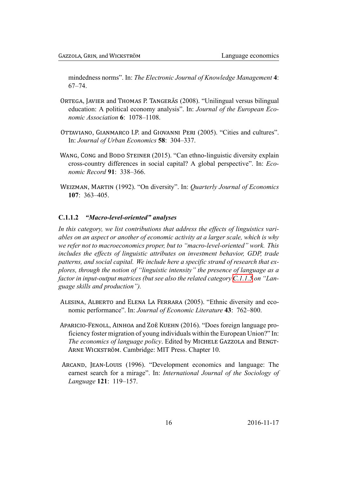mindedness norms". In: The Electronic Journal of Knowledge Management 4:  $67 - 74$ 

- ORTEGA, JAVIER and THOMAS P. TANGERÅS (2008). "Unilingual versus bilingual education: A political economy analysis". In: Journal of the European Economic Association 6: 1078-1108.
- OTTAVIANO, GIANMARCO I.P. and GIOVANNI PERI (2005). "Cities and cultures". In: Journal of Urban Economics 58: 304-337.
- WANG, CONG and BODO STEINER (2015). "Can ethno-linguistic diversity explain cross-country differences in social capital? A global perspective". In: *Eco*nomic Record 91: 338-366.
- WEIZMAN, MARTIN (1992). "On diversity". In: Quarterly Journal of Economics  $107: 363 - 405.$

#### $C.1.1.2$ "Macro-level-oriented" analyses

<span id="page-16-0"></span>In this category, we list contributions that address the effects of linguistics variables on an aspect or another of economic activity at a larger scale, which is why we refer not to macroeconomics proper, but to "macro-level-oriented" work. This includes the effects of linguistic attributes on investment behavior, GDP, trade patterns, and social capital. We include here a specific strand of research that explores, through the notion of "linguistic intensity" the presence of language as a factor in input-output matrices (but see also the related category  $C.1.1.5$  on "Language skills and production").

- ALESINA, ALBERTO and ELENA LA FERRARA (2005). "Ethnic diversity and economic performance". In: Journal of Economic Literature 43: 762-800.
- APARICIO-FENOLL, AINHOA and ZOË KUEHN (2016). "Does foreign language proficiency foster migration of young individuals within the European Union?" In: The economics of language policy. Edited by MICHELE GAZZOLA and BENGT-ARNE WICKSTRÖM. Cambridge: MIT Press. Chapter 10.
- ARCAND, JEAN-LOUIS (1996). "Development economics and language: The earnest search for a mirage". In: International Journal of the Sociology of Language 121: 119-157.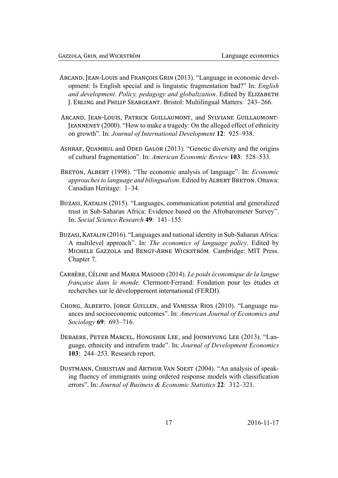- ARCAND, JEAN-LOUIS and FRANÇOIS GRIN (2013). "Language in economic development: Is English special and is linguistic fragmentation bad?" In: *English* and development. Policy, pedagogy and globalization. Edited by ELIZABETH J. ERLING and PHILIP SEARGEANT. Bristol: Multilingual Matters: 243–266.
- ARCAND, JEAN-LOUIS, PATRICK GUILLAUMONT, and SYLVIANE GUILLAUMONT-**JEANNENEY** (2000). "How to make a tragedy: On the alleged effect of ethnicity on growth". In: *Journal of International Development* 12: 925–938.
- ASHRAF, QUAMRUL and ODED GALOR (2013). "Genetic diversity and the origins of cultural fragmentation". In: American Economic Review 103: 528–533.
- BRETON, ALBERT (1998). "The economic analysis of language". In: *Economic approaches to language and bilingualism.* Edited by ALBERT BRETON. Ottawa: Canadian Heritage: 1-34.
- BUZASI, KATALIN (2015). "Languages, communication potential and generalized trust in Sub-Saharan Africa: Evidence based on the Afrobarometer Survey". In: Social Science Research 49: 141-155.
- BUZASI, KATALIN (2016). "Languages and national identity in Sub-Saharan Africa: A multilevel approach". In: The economics of language policy. Edited by MICHELE GAZZOLA and BENGT-ARNE WICKSTRÖM. Cambridge: MIT Press. Chapter 7.
- CARRÈRE, CÉLINE and MARIA MASOOD (2014). Le poids économique de la langue française dans le monde. Clermont-Ferrand: Fondation pour les études et recherches sur le développement international (FERDI).
- CHONG, ALBERTO, JORGE GUILLEN, and VANESSA RIOS (2010). "Language nuances and socioeconomic outcomes". In: American Journal of Economics and Sociology 69: 693-716.
- DEBAERE, PETER MARCEL, HONGSHIK LEE, and JOONHYUNG LEE (2013). "Language, ethnicity and intrafirm trade". In: Journal of Development Economics 103: 244–253. Research report.
- DUSTMANN, CHRISTIAN and ARTHUR VAN SOEST (2004). "An analysis of speaking fluency of immigrants using ordered response models with classification errors". In: Journal of Business & Economic Statistics 22: 312-321.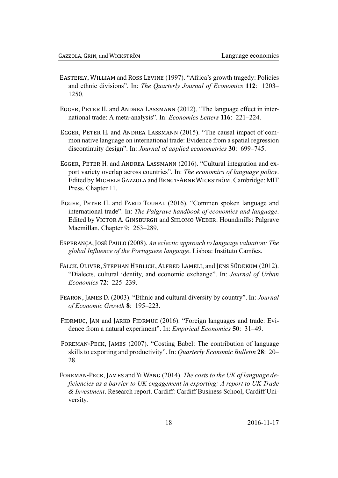- EASTERLY, WILLIAM and ROSS LEVINE (1997). "Africa's growth tragedy: Policies and ethnic divisions". In: The Quarterly Journal of Economics 112: 1203-1250
- EGGER, PETER H. and ANDREA LASSMANN (2012). "The language effect in international trade: A meta-analysis". In: *Economics Letters* 116: 221–224.
- EGGER, PETER H. and ANDREA LASSMANN (2015). "The causal impact of common native language on international trade: Evidence from a spatial regression discontinuity design". In: Journal of applied econometrics 30: 699–745.
- EGGER, PETER H. and ANDREA LASSMANN (2016). "Cultural integration and export variety overlap across countries". In: The economics of language policy. Edited by MICHELE GAZZOLA and BENGT-ARNE WICKSTRÖM. Cambridge: MIT Press. Chapter 11.
- EGGER, PETER H. and FARID TOUBAL (2016). "Commen spoken language and international trade". In: The Palgrave handbook of economics and language. Edited by VICTOR A. GINSBURGH and SHLOMO WEBER. Houndmills: Palgrave Macmillan. Chapter 9: 263–289.
- ESPERANÇA, JOSÉ PAULO (2008). An eclectic approach to language valuation: The global Influence of the Portuguese language. Lisboa: Instituto Camões.
- FALCK, OLIVER, STEPHAN HEBLICH, ALFRED LAMELI, and JENS SÜDEKUM (2012). "Dialects, cultural identity, and economic exchange". In: Journal of Urban Economics 72: 225-239.
- FEARON, JAMES D. (2003). "Ethnic and cultural diversity by country". In: Journal of Economic Growth 8: 195-223.
- FIDRMUC, JAN and JARKO FIDRMUC (2016). "Foreign languages and trade: Evidence from a natural experiment". In: *Empirical Economics* 50: 31–49.
- FOREMAN-PECK, JAMES (2007). "Costing Babel: The contribution of language skills to exporting and productivity". In: *Ouarterly Economic Bulletin* 28: 20– 28.
- FOREMAN-PECK, JAMES and YI WANG (2014). The costs to the UK of language deficiencies as a barrier to UK engagement in exporting: A report to UK Trade & Investment. Research report. Cardiff: Cardiff Business School, Cardiff University.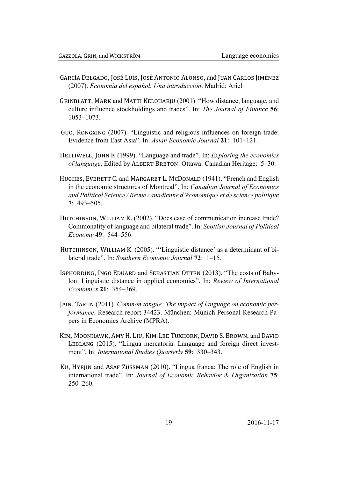- GARCÍA DELGADO, JOSÉ LUIS, JOSÉ ANTONIO ALONSO, and JUAN CARLOS JIMÉNEZ (2007). Economía del español. Una introducción. Madrid: Ariel.
- GRINBLATT, MARK and MATTI KELOHARJU (2001). "How distance, language, and culture influence stockholdings and trades". In: The Journal of Finance 56:  $1053 - 1073$ .
- GUO, RONGXING (2007). "Linguistic and religious influences on foreign trade: Evidence from East Asia". In: Asian Economic Journal 21: 101-121.
- HELLIWELL, JOHN F. (1999). "Language and trade". In: *Exploring the economics* of language. Edited by ALBERT BRETON. Ottawa: Canadian Heritage: 5-30.
- HUGHES, EVERETT C. and MARGARET L. MCDONALD (1941). "French and English in the economic structures of Montreal". In: Canadian Journal of Economics and Political Science / Revue canadienne d'économique et de science politique  $7:493-505$ .
- HUTCHINSON, WILLIAM K. (2002). "Does ease of communication increase trade? Commonality of language and bilateral trade". In: Scottish Journal of Political Economy 49: 544-556.
- HUTCHINSON, WILLIAM K. (2005). "'Linguistic distance' as a determinant of bilateral trade". In: Southern Economic Journal 72: 1-15.
- ISPHORDING, INGO EDUARD and SEBASTIAN OTTEN (2013). "The costs of Babylon: Linguistic distance in applied economics". In: Review of International *Economics* 21: 354–369.
- JAIN, TARUN (2011). Common tongue: The impact of language on economic performance. Research report 34423. München: Munich Personal Research Papers in Economics Archive (MPRA).
- KIM, MOONHAWK, AMY H. LIU, KIM-LEE TUXHORN, DAVID S. BROWN, and DAVID LEBLANG (2015). "Lingua mercatoria: Language and foreign direct investment". In: *International Studies Quarterly* 59: 330–343.
- KU, HYEJIN and ASAF ZUSSMAN (2010). "Lingua franca: The role of English in international trade". In: Journal of Economic Behavior & Organization 75:  $250 - 260$ .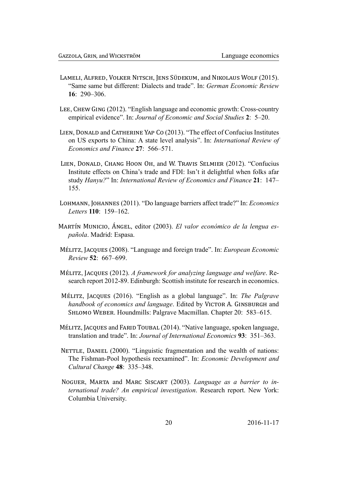- LAMELI, ALFRED, VOLKER NITSCH, JENS SÜDEKUM, and NIKOLAUS WOLF (2015). "Same same but different: Dialects and trade". In: German Economic Review  $16 \cdot 290 - 306$
- LEE, CHEW GING (2012). "English language and economic growth: Cross-country empirical evidence". In: Journal of Economic and Social Studies 2: 5–20.
- LIEN, DONALD and CATHERINE YAP Co (2013). "The effect of Confucius Institutes on US exports to China: A state level analysis". In: International Review of Economics and Finance 27: 566–571.
- LIEN, DONALD, CHANG HOON OH, and W. TRAVIS SELMIER (2012). "Confucius Institute effects on China's trade and FDI: Isn't it delightful when folks afar study Hanyu?" In: International Review of Economics and Finance 21: 147– 155.
- LOHMANN, JOHANNES (2011). "Do language barriers affect trade?" In: Economics Letters 110: 159-162.
- MARTÍN MUNICIO, ÁNGEL, editor (2003). El valor económico de la lengua española. Madrid: Espasa.
- MÉLITZ, JACQUES (2008). "Language and foreign trade". In: European Economic Review 52: 667-699.
- MÉLITZ, JACQUES (2012). A framework for analyzing language and welfare. Research report 2012-89. Edinburgh: Scottish institute for research in economics.
- MÉLITZ, JACQUES (2016). "English as a global language". In: The Palgrave handbook of economics and language. Edited by VICTOR A. GINSBURGH and SHLOMO WEBER. Houndmills: Palgrave Macmillan. Chapter 20: 583–615.
- MÉLITZ, JACQUES and FARID TOUBAL (2014). "Native language, spoken language, translation and trade". In: Journal of International Economics 93: 351–363.
- NETTLE, DANIEL (2000). "Linguistic fragmentation and the wealth of nations: The Fishman-Pool hypothesis reexamined". In: Economic Development and Cultural Change 48: 335-348.
- NOGUER, MARTA and MARC SISCART (2003). Language as a barrier to international trade? An empirical investigation. Research report. New York: Columbia University.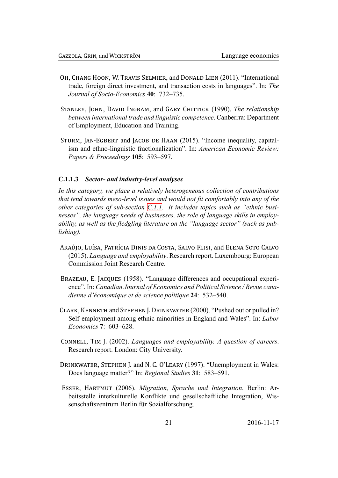- OH, CHANG HOON, W. TRAVIS SELMIER, and DONALD LIEN (2011). "International trade, foreign direct investment, and transaction costs in languages". In: The Journal of Socio-Economics 40: 732-735.
- STANLEY, JOHN, DAVID INGRAM, and GARY CHITTICK (1990). The relationship between international trade and linguistic competence. Canberrra: Department of Employment, Education and Training.
- STURM, JAN-EGBERT and JACOB DE HAAN (2015). "Income inequality, capitalism and ethno-linguistic fractionalization". In: American Economic Review: Papers & Proceedings 105: 593–597.

#### $C.1.1.3$ Sector- and industry-level analyses

<span id="page-21-0"></span>In this category, we place a relatively heterogeneous collection of contributions that tend towards meso-level issues and would not fit comfortably into any of the other categories of sub-section C.1.1. It includes topics such as "ethnic businesses", the language needs of businesses, the role of language skills in employability, as well as the fledgling literature on the "language sector" (such as pub*lishing*).

- ARAÚJO, LUÍSA, PATRÍCIA DINIS DA COSTA, SALVO FLISI, and ELENA SOTO CALVO (2015). Language and employability. Research report. Luxembourg: European **Commission Joint Research Centre**
- BRAZEAU, E. JACQUES (1958). "Language differences and occupational experience". In: Canadian Journal of Economics and Political Science / Revue canadienne d'économique et de science politique 24: 532–540.
- CLARK, KENNETH and STEPHEN J. DRINKWATER (2000). "Pushed out or pulled in? Self-employment among ethnic minorities in England and Wales". In: Labor *Economics* 7: 603–628.
- CONNELL, TIM J. (2002). Languages and employability. A question of careers. Research report. London: City University.
- DRINKWATER, STEPHEN J. and N. C. O'LEARY (1997). "Unemployment in Wales: Does language matter?" In: Regional Studies 31: 583-591.
- ESSER, HARTMUT (2006). Migration, Sprache und Integration. Berlin: Arbeitsstelle interkulturelle Konflikte und gesellschaftliche Integration, Wissenschaftszentrum Berlin für Sozialforschung.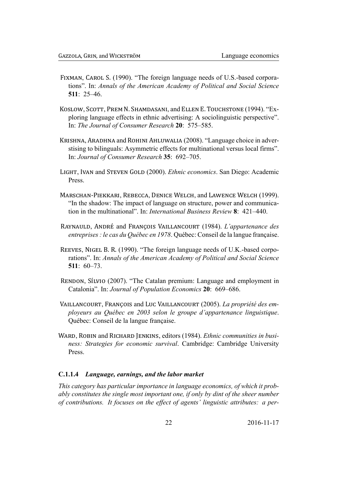- FIXMAN, CAROL S. (1990). "The foreign language needs of U.S.-based corporations". In: Annals of the American Academy of Political and Social Science  $511 \cdot 25 - 46$
- KOSLOW, SCOTT, PREM N. SHAMDASANI, and ELLEN E. TOUCHSTONE (1994). "Exploring language effects in ethnic advertising: A sociolinguistic perspective". In: The Journal of Consumer Research 20: 575–585.
- KRISHNA, ARADHNA and ROHINI AHLUWALIA (2008). "Language choice in adverstising to bilinguals: Asymmetric effects for multinational versus local firms". In: Journal of Consumer Research 35: 692-705.
- LIGHT, IVAN and STEVEN GOLD (2000). *Ethnic economics*. San Diego: Academic Press
- MARSCHAN-PIEKKARI, REBECCA, DENICE WELCH, and LAWENCE WELCH (1999). "In the shadow: The impact of language on structure, power and communication in the multinational". In: *International Business Review* 8: 421–440.
- RAYNAULD, ANDRÉ and FRANÇOIS VAILLANCOURT (1984). L'appartenance des entreprises : le cas du Québec en 1978. Québec: Conseil de la langue française.
- REEVES, NIGEL B. R. (1990). "The foreign language needs of U.K.-based corporations". In: Annals of the American Academy of Political and Social Science  $511 \cdot 60 - 73$
- RENDON, SÍLVIO (2007). "The Catalan premium: Language and employment in Catalonia". In: Journal of Population Economics 20: 669–686.
- VAILLANCOURT, FRANÇOIS and LUC VAILLANCOURT (2005). La propriété des employeurs au Québec en 2003 selon le groupe d'appartenance linguistique. Québec: Conseil de la langue française.
- WARD, ROBIN and RICHARD JENKINS, editors (1984). *Ethnic communities in busi*ness: Strategies for economic survival. Cambridge: Cambridge University Press

#### <span id="page-22-0"></span> $C.1.1.4$ Language, earnings, and the labor market

This category has particular importance in language economics, of which it probably constitutes the single most important one, if only by dint of the sheer number of contributions. It focuses on the effect of agents' linguistic attributes: a per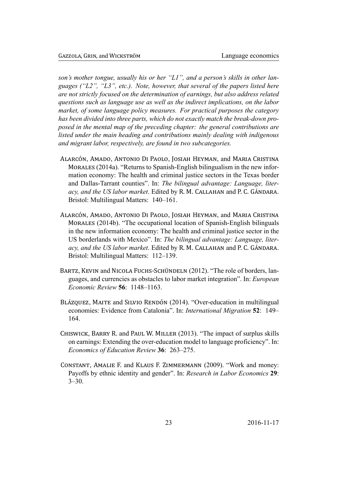son's mother tongue, usually his or her "L1", and a person's skills in other languages ("L2", "L3", etc.). Note, however, that several of the papers listed here are not strictly focused on the determination of earnings, but also address related questions such as language use as well as the indirect implications, on the labor market, of some language policy measures. For practical purposes the category has been divided into three parts, which do not exactly match the break-down proposed in the mental map of the preceding chapter: the general contributions are listed under the main heading and contributions mainly dealing with indigenous and migrant labor, respectively, are found in two subcategories.

- ALARCÓN, AMADO, ANTONIO DI PAOLO, JOSIAH HEYMAN, and MARIA CRISTINA MORALES (2014a). "Returns to Spanish-English bilingualism in the new information economy: The health and criminal justice sectors in the Texas border and Dallas-Tarrant counties". In: The bilingual advantage: Language, literacy, and the US labor market. Edited by R. M. CALLAHAN and P. C. GÁNDARA. Bristol: Multilingual Matters: 140-161.
- ALARCÓN, AMADO, ANTONIO DI PAOLO, JOSIAH HEYMAN, and MARIA CRISTINA MORALES (2014b). "The occupational location of Spanish-English bilinguals in the new information economy: The health and criminal justice sector in the US borderlands with Mexico". In: The bilingual advantage: Language, literacy, and the US labor market. Edited by R. M. CALLAHAN and P. C. GÁNDARA. Bristol: Multilingual Matters: 112–139.
- BARTZ, KEVIN and NICOLA FUCHS-SCHÜNDELN (2012). "The role of borders, languages, and currencies as obstacles to labor market integration". In: *European Economic Review* 56: 1148–1163.
- BLÁZOUEZ, MAITE and SILVIO RENDÓN (2014). "Over-education in multilingual economies: Evidence from Catalonia". In: International Migration 52: 149– 164.
- CHISWICK, BARRY R. and PAUL W. MILLER (2013). "The impact of surplus skills on earnings: Extending the over-education model to language proficiency". In: Economics of Education Review 36: 263-275.
- CONSTANT, AMALIE F. and KLAUS F. ZIMMERMANN (2009). "Work and money: Payoffs by ethnic identity and gender". In: Research in Labor Economics 29:  $3 - 30$ .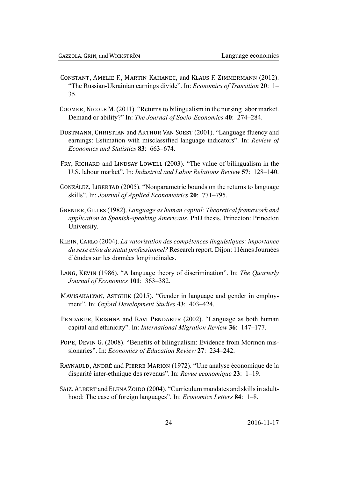- CONSTANT, AMELIE F., MARTIN KAHANEC, and KLAUS F. ZIMMERMANN (2012). "The Russian-Ukrainian earnings divide". In: *Economics of Transition* 20: 1– 35
- COOMER, NICOLE M. (2011). "Returns to bilingualism in the nursing labor market. Demand or ability?" In: The Journal of Socio-Economics 40: 274–284.
- DUSTMANN, CHRISTIAN and ARTHUR VAN SOEST (2001). "Language fluency and earnings: Estimation with misclassified language indicators". In: Review of Economics and Statistics 83: 663–674.
- FRY, RICHARD and LINDSAY LOWELL (2003). "The value of bilingualism in the U.S. labour market". In: *Industrial and Labor Relations Review* 57: 128–140.
- GONZÁLEZ, LIBERTAD (2005). "Nonparametric bounds on the returns to language skills". In: Journal of Applied Econometrics 20: 771-795.
- GRENIER, GILLES (1982). Language as human capital: Theoretical framework and application to Spanish-speaking Americans. PhD thesis. Princeton: Princeton University.
- KLEIN, CARLO (2004). La valorisation des compétences linguistiques: importance du sexe et/ou du statut professionnel? Research report. Dijon: 11èmes Journées d'études sur les données longitudinales.
- LANG, KEVIN (1986). "A language theory of discrimination". In: The Quarterly Journal of Economics 101: 363-382.
- MAVISAKALYAN, ASTGHIK (2015). "Gender in language and gender in employment". In: Oxford Development Studies 43: 403-424.
- PENDAKUR, KRISHNA and RAVI PENDAKUR (2002). "Language as both human capital and ethinicity". In: International Migration Review 36: 147-177.
- POPE, DEVIN G. (2008). "Benefits of bilingualism: Evidence from Mormon missionaries". In: Economics of Education Review 27: 234-242.
- RAYNAULD, ANDRÉ and PIERRE MARION (1972). "Une analyse économique de la disparité inter-ethnique des revenus". In: Revue économique 23: 1–19.
- SAIZ, ALBERT and ELENA ZOIDO (2004). "Curriculum mandates and skills in adulthood: The case of foreign languages". In: *Economics Letters* 84: 1–8.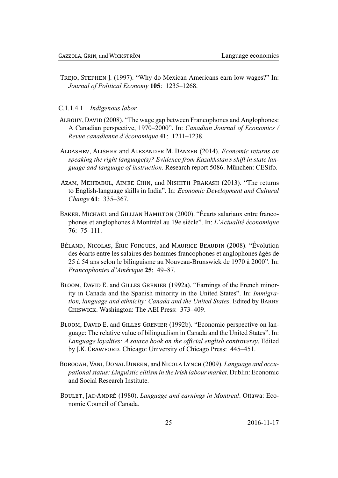TREJO, STEPHEN J. (1997). "Why do Mexican Americans earn low wages?" In: Journal of Political Economy 105: 1235-1268.

C.1.1.4.1 Indigenous labor

- ALBOUY, DAVID (2008). "The wage gap between Francophones and Anglophones: A Canadian perspective, 1970–2000". In: Canadian Journal of Economics / Revue canadienne d'économique 41: 1211-1238.
- ALDASHEV, ALISHER and ALEXANDER M. DANZER (2014). Economic returns on speaking the right language(s)? Evidence from Kazakhstan's shift in state language and language of instruction. Research report 5086. München: CESifo.
- AZAM, MEHTABUL, AIMEE CHIN, and NISHITH PRAKASH (2013). "The returns to English-language skills in India". In: *Economic Development and Cultural* Change 61: 335-367.
- BAKER, MICHAEL and GILLIAN HAMILTON (2000). "Écarts salariaux entre francophones et anglophones à Montréal au 19e siècle". In: L'Actualité économique  $76:75-111.$
- BÉLAND, NICOLAS, ÉRIC FORGUES, and MAURICE BEAUDIN (2008). "Évolution des écarts entre les salaires des hommes francophones et anglophones âgés de 25 à 54 ans selon le bilinguisme au Nouveau-Brunswick de 1970 à 2000". In: Francophonies d'Amérique 25: 49-87.
- BLOOM, DAVID E. and GILLES GRENIER (1992a). "Earnings of the French minority in Canada and the Spanish minority in the United States". In: Immigration, language and ethnicity: Canada and the United States. Edited by BARRY CHISWICK. Washington: The AEI Press: 373-409.
- BLOOM, DAVID E. and GILLES GRENIER (1992b). "Economic perspective on language: The relative value of bilingualism in Canada and the United States". In: Language loyalties: A source book on the official english controversy. Edited by J.K. CRAWFORD. Chicago: University of Chicago Press: 445–451.
- BOROOAH, VANI, DONAL DINEEN, and NICOLA LYNCH (2009). Language and occupational status: Linguistic elitism in the Irish labour market. Dublin: Economic and Social Research Institute
- BOULET, JAC-ANDRÉ (1980). Language and earnings in Montreal. Ottawa: Economic Council of Canada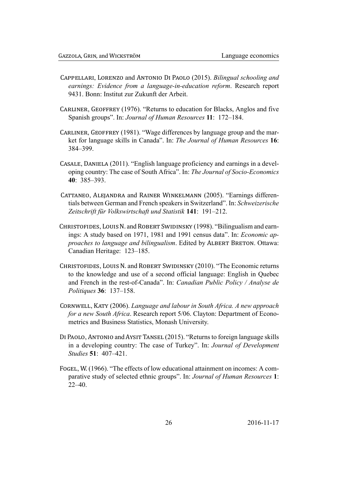- CAPPELLARI, LORENZO and ANTONIO DI PAOLO (2015). Bilingual schooling and earnings: Evidence from a language-in-education reform. Research report 9431. Bonn: Institut zur Zukunft der Arbeit.
- CARLINER, GEOFFREY (1976). "Returns to education for Blacks, Anglos and five Spanish groups". In: *Journal of Human Resources* 11: 172–184.
- CARLINER, GEOFFREY (1981). "Wage differences by language group and the market for language skills in Canada". In: The Journal of Human Resources 16: 384-399.
- CASALE, DANIELA (2011). "English language proficiency and earnings in a developing country: The case of South Africa". In: The Journal of Socio-Economics  $40.385 - 393$
- CATTANEO, ALEJANDRA and RAINER WINKELMANN (2005). "Earnings differentials between German and French speakers in Switzerland". In: Schweizerische Zeitschrift für Volkswirtschaft und Statistik 141: 191-212.
- CHRISTOFIDES, LOUIS N. and ROBERT SWIDINSKY (1998). "Bilingualism and earnings: A study based on 1971, 1981 and 1991 census data". In: *Economic ap*proaches to language and bilingualism. Edited by ALBERT BRETON. Ottawa: Canadian Heritage: 123-185.
- CHRISTOFIDES, LOUIS N. and ROBERT SWIDINSKY (2010). "The Economic returns to the knowledge and use of a second official language: English in Quebec and French in the rest-of-Canada". In: Canadian Public Policy / Analyse de Politiques 36: 137-158.
- CORNWELL, KATY (2006). Language and labour in South Africa. A new approach for a new South Africa. Research report 5/06. Clayton: Department of Econometrics and Business Statistics, Monash University.
- DI PAOLO, ANTONIO and AYSIT TANSEL (2015). "Returns to foreign language skills in a developing country: The case of Turkey". In: Journal of Development *Studies* 51: 407-421.
- FOGEL, W. (1966). "The effects of low educational attainment on incomes: A comparative study of selected ethnic groups". In: Journal of Human Resources 1:  $22 - 40$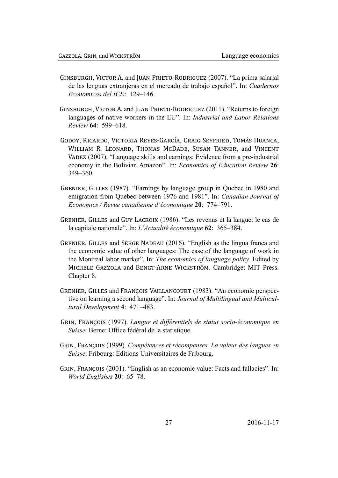- GINSBURGH, VICTOR A. and JUAN PRIETO-RODRIGUEZ (2007). "La prima salarial de las lenguas extranjeras en el mercado de trabajo español". In: Cuadernos Economicos del ICE: 129-146.
- GINSBURGH, VICTOR A. and JUAN PRIETO-RODRIGUEZ (2011). "Returns to foreign languages of native workers in the EU". In: *Industrial and Labor Relations* Review 64: 599–618
- GODOY, RICARDO, VICTORIA REYES-GARCÍA, CRAIG SEYFRIED, TOMÁS HUANCA, WILLIAM R. LEONARD, THOMAS MCDADE, SUSAN TANNER, and VINCENT VADEZ (2007). "Language skills and earnings: Evidence from a pre-industrial economy in the Bolivian Amazon". In: Economics of Education Review 26:  $349 - 360$
- GRENIER, GILLES (1987). "Earnings by language group in Quebec in 1980 and emigration from Ouebec between 1976 and 1981". In: Canadian Journal of Economics / Revue canadienne d'économique 20: 774-791.
- GRENIER, GILLES and GUY LACROIX (1986). "Les revenus et la langue: le cas de la capitale nationale". In: *L'Actualité économique* 62: 365–384.
- GRENIER, GILLES and SERGE NADEAU (2016). "English as the lingua franca and the economic value of other languages: The case of the language of work in the Montreal labor market". In: The economics of language policy. Edited by MICHELE GAZZOLA and BENGT-ARNE WICKSTRÖM. Cambridge: MIT Press. Chapter 8.
- GRENIER, GILLES and FRANCOIS VAILLANCOURT (1983). "An economic perspective on learning a second language". In: Journal of Multilingual and Multicultural Development 4: 471-483.
- GRIN, FRANÇOIS (1997). Langue et différentiels de statut socio-économique en Suisse. Berne: Office fédéral de la statistique.
- GRIN, FRANCOIS (1999). Compétences et récompenses. La valeur des langues en *Suisse*. Fribourg: Editions Universitaires de Fribourg.
- GRIN, FRANÇOIS (2001). "English as an economic value: Facts and fallacies". In: World Englishes 20: 65-78.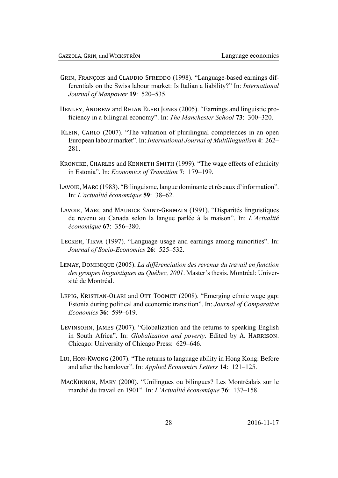- GRIN, FRANÇOIS and CLAUDIO SFREDDO (1998). "Language-based earnings differentials on the Swiss labour market: Is Italian a liability?" In: *International* Journal of Manpower 19: 520-535.
- HENLEY, ANDREW and RHIAN ELERI JONES (2005). "Earnings and linguistic proficiency in a bilingual economy". In: The Manchester School 73: 300–320.
- KLEIN, CARLO (2007). "The valuation of plurilingual competences in an open European labour market". In: International Journal of Multilingualism 4: 262– 281.
- KRONCKE, CHARLES and KENNETH SMITH (1999). "The wage effects of ethnicity in Estonia". In: *Economics of Transition* 7: 179–199.
- LAVOIE, MARC (1983). "Bilinguisme, langue dominante et réseaux d'information". In: L'actualité économique 59: 38-62.
- LAVOIE, MARC and MAURICE SAINT-GERMAIN (1991). "Disparités linguistiques de revenu au Canada selon la langue parlée à la maison". In: L'Actualité économique 67: 356-380.
- LECKER, TIKVA (1997). "Language usage and earnings among minorities". In: Journal of Socio-Economics 26: 525-532.
- LEMAY, DOMINIQUE (2005). La différenciation des revenus du travail en function des groupes linguistiques au Québec, 2001. Master's thesis. Montréal: Université de Montréal
- LEPIG, KRISTIAN-OLARI and OTT TOOMET (2008). "Emerging ethnic wage gap: Estonia during political and economic transition". In: Journal of Comparative Economics 36: 599-619.
- LEVINSOHN, JAMES (2007). "Globalization and the returns to speaking English in South Africa". In: *Globalization and poverty*. Edited by A. HARRISON. Chicago: University of Chicago Press: 629–646.
- LUI, HON-KWONG (2007). "The returns to language ability in Hong Kong: Before and after the handover". In: *Applied Economics Letters* 14: 121–125.
- MACKINNON, MARY (2000). "Unilingues ou bilingues? Les Montréalais sur le marché du travail en 1901". In: L'Actualité économique 76: 137–158.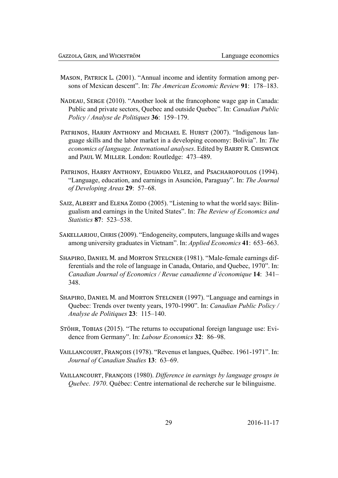- MASON, PATRICK L. (2001). "Annual income and identity formation among persons of Mexican descent". In: The American Economic Review 91: 178–183.
- NADEAU, SERGE (2010). "Another look at the francophone wage gap in Canada: Public and private sectors, Ouebec and outside Ouebec". In: Canadian Public Policy / Analyse de Politiques 36: 159-179.
- PATRINOS, HARRY ANTHONY and MICHAEL E. HURST (2007). "Indigenous language skills and the labor market in a developing economy: Bolivia". In: The economics of language. International analyses. Edited by BARRY R. CHISWICK and PAUL W. MILLER. London: Routledge: 473-489.
- PATRINOS, HARRY ANTHONY, EDUARDO VELEZ, and PSACHAROPOULOS (1994). "Language, education, and earnings in Asunción, Paraguay". In: The Journal of Developing Areas 29: 57-68.
- SAIZ, ALBERT and ELENA ZOIDO (2005). "Listening to what the world says: Bilingualism and earnings in the United States". In: The Review of Economics and Statistics 87: 523-538.
- SAKELLARIOU, CHRIS (2009). "Endogeneity, computers, language skills and wages among university graduates in Vietnam". In: *Applied Economics* 41: 653–663.
- SHAPIRO, DANIEL M. and MORTON STELCNER (1981). "Male-female earnings differentials and the role of language in Canada, Ontario, and Quebec, 1970". In: Canadian Journal of Economics / Revue canadienne d'économique 14: 341-348.
- SHAPIRO, DANIEL M. and MORTON STELCNER (1997). "Language and earnings in Quebec: Trends over twenty years, 1970-1990". In: Canadian Public Policy / Analyse de Politiques 23: 115-140.
- STÖHR, TOBIAS (2015). "The returns to occupational foreign language use: Evidence from Germany". In: *Labour Economics* 32: 86–98.
- VAILLANCOURT, FRANÇOIS (1978). "Revenus et langues, Québec. 1961-1971". In: Journal of Canadian Studies 13: 63-69.
- VAILLANCOURT, FRANÇOIS (1980). Difference in earnings by language groups in Quebec. 1970. Québec: Centre international de recherche sur le bilinguisme.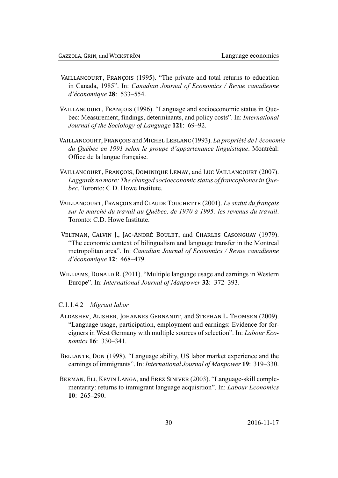- VAILLANCOURT, FRANÇOIS (1995). "The private and total returns to education in Canada, 1985". In: Canadian Journal of Economics / Revue canadienne d'économique 28: 533-554.
- VAILLANCOURT, FRANCOIS (1996). "Language and socioeconomic status in Ouebec: Measurement, findings, determinants, and policy costs". In: *International* Journal of the Sociology of Language 121: 69-92.
- VAILLANCOURT, FRANÇOIS and MICHEL LEBLANC (1993). La propriété de l'économie du Québec en 1991 selon le groupe d'appartenance linguistique. Montréal: Office de la langue française.
- VAILLANCOURT, FRANCOIS, DOMINIOUE LEMAY, and LUC VAILLANCOURT (2007). Laggards no more: The changed socioeconomic status of francophones in Oue*hec* Toronto: C D Howe Institute
- VAILLANCOURT, FRANCOIS and CLAUDE TOUCHETTE (2001). Le statut du français sur le marché du travail au Ouébec, de 1970 à 1995: les revenus du travail. Toronto: C D Howe Institute
- VELTMAN, CALVIN J., JAC-ANDRÉ BOULET, and CHARLES CASONGUAY (1979). "The economic context of bilingualism and language transfer in the Montreal metropolitan area". In: Canadian Journal of Economics / Revue canadienne d'économique 12: 468-479.
- WILLIAMS, DONALD R. (2011). "Multiple language usage and earnings in Western Europe". In: International Journal of Manpower 32: 372–393.

### C.1.1.4.2 Migrant labor

- ALDASHEV, ALISHER, JOHANNES GERNANDT, and STEPHAN L. THOMSEN (2009). "Language usage, participation, employment and earnings: Evidence for foreigners in West Germany with multiple sources of selection". In: Labour Economics  $16 \cdot 330 - 341$
- BELLANTE, DON (1998). "Language ability, US labor market experience and the earnings of immigrants". In: *International Journal of Manpower* 19: 319–330.
- BERMAN, ELI, KEVIN LANGA, and EREZ SINIVER (2003). "Language-skill complementarity: returns to immigrant language acquisition". In: *Labour Economics*  $10: 265 - 290.$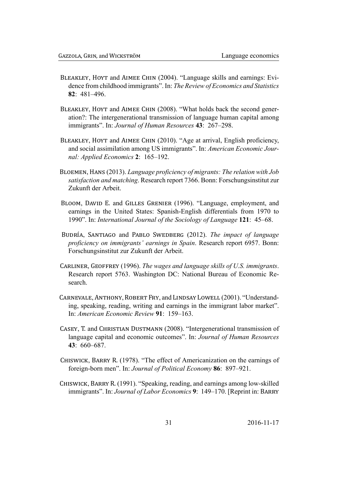- BLEAKLEY, HOYT and AIMEE CHIN (2004). "Language skills and earnings: Evidence from childhood immigrants". In: The Review of Economics and Statistics  $82 \cdot 481 - 496$
- BLEAKLEY, HOYT and AIMEE CHIN (2008). "What holds back the second generation?: The intergenerational transmission of language human capital among immigrants". In: Journal of Human Resources 43: 267-298.
- BLEAKLEY, HOYT and AIMEE CHIN (2010). "Age at arrival, English proficiency, and social assimilation among US immigrants". In: American Economic Journal: Applied Economics 2: 165-192.
- BLOEMEN, HANS (2013). Language proficiency of migrants: The relation with Job satisfaction and matching. Research report 7366. Bonn: Forschungsinstitut zur Zukunft der Arbeit
- BLOOM, DAVID E. and GILLES GRENIER (1996). "Language, employment, and earnings in the United States: Spanish-English differentials from 1970 to 1990". In: International Journal of the Sociology of Language 121: 45–68.
- BUDRÍA, SANTIAGO and PABLO SWEDBERG (2012). The impact of language proficiency on immigrants' earnings in Spain. Research report 6957. Bonn: Forschungsinstitut zur Zukunft der Arbeit.
- CARLINER, GEOFFREY (1996). The wages and language skills of U.S. immigrants. Research report 5763. Washington DC: National Bureau of Economic Research.
- CARNEVALE, ANTHONY, ROBERT FRY, and LINDSAY LOWELL (2001). "Understanding, speaking, reading, writing and earnings in the immigrant labor market". In: American Economic Review 91: 159–163.
- CASEY, T. and CHRISTIAN DUSTMANN (2008). "Intergenerational transmission of language capital and economic outcomes". In: Journal of Human Resources  $43 \cdot 660 - 687$
- CHISWICK, BARRY R. (1978). "The effect of Americanization on the earnings of foreign-born men". In: Journal of Political Economy 86: 897–921.
- CHISWICK, BARRY R. (1991). "Speaking, reading, and earnings among low-skilled immigrants". In: *Journal of Labor Economics* 9: 149–170. [Reprint in: BARRY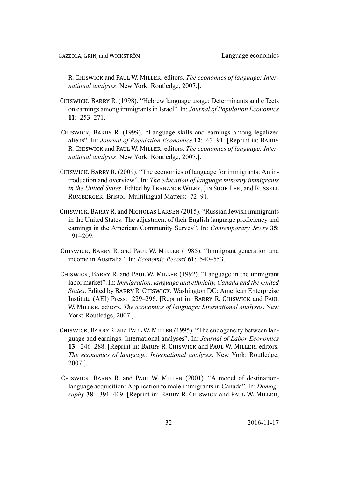R. CHISWICK and PAUL W. MILLER, editors. The economics of language: International analyses. New York: Routledge, 2007.].

- CHISWICK, BARRY R. (1998). "Hebrew language usage: Determinants and effects on earnings among immigrants in Israel". In: Journal of Population Economics  $11: 253 - 271.$
- CHISWICK, BARRY R. (1999). "Language skills and earnings among legalized aliens". In: Journal of Population Economics 12: 63–91. [Reprint in: BARRY R. CHISWICK and PAUL W. MILLER, editors. The economics of language: International analyses. New York: Routledge, 2007.].
- CHISWICK, BARRY R. (2009). "The economics of language for immigrants: An introduction and overview". In: The education of language minority immigrants in the United States. Edited by TERRANCE WILEY, JIN SOOK LEE, and RUSSELL RUMBERGER, Bristol: Multilingual Matters: 72-91.
- CHISWICK, BARRY R. and NICHOLAS LARSEN (2015). "Russian Jewish immigrants in the United States: The adjustment of their English language proficiency and earnings in the American Community Survey". In: Contemporary Jewry 35:  $191 - 209$ .
- CHISWICK, BARRY R. and PAUL W. MILLER (1985). "Immigrant generation and income in Australia". In: *Economic Record* 61: 540–553.
- CHISWICK, BARRY R. and PAUL W. MILLER (1992). "Language in the immigrant labor market". In: Immigration, language and ethnicity, Canada and the United States. Edited by BARRY R. CHISWICK. Washington DC: American Enterpreise Institute (AEI) Press: 229–296. [Reprint in: BARRY R. CHISWICK and PAUL W. MILLER, editors. The economics of language: International analyses. New York: Routledge, 2007.].
- CHISWICK, BARRY R. and PAUL W. MILLER (1995). "The endogeneity between language and earnings: International analyses". In: Journal of Labor Economics 13: 246–288. [Reprint in: BARRY R. CHISWICK and PAUL W. MILLER, editors. The economics of language: International analyses. New York: Routledge, 2007.].
- CHISWICK, BARRY R. and PAUL W. MILLER (2001). "A model of destinationlanguage acquisition: Application to male immigrants in Canada". In: Demography 38: 391–409. [Reprint in: BARRY R. CHISWICK and PAUL W. MILLER,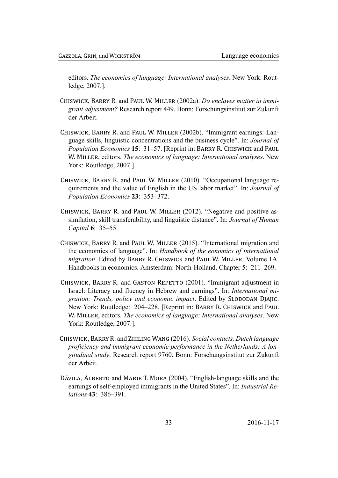editors. The economics of language: International analyses. New York: Routledge, 2007.].

- CHISWICK, BARRY R. and PAUL W. MILLER (2002a). Do enclaves matter in immigrant adjustment? Research report 449. Bonn: Forschungsinstitut zur Zukunft der Arbeit.
- CHISWICK, BARRY R. and PAUL W. MILLER (2002b). "Immigrant earnings: Language skills, linguistic concentrations and the business cycle". In: Journal of *Population Economics* 15: 31–57. [Reprint in: BARRY R. CHISWICK and PAUL W. MILLER, editors. The economics of language: International analyses. New York: Routledge, 2007.].
- CHISWICK, BARRY R. and PAUL W. MILLER (2010). "Occupational language requirements and the value of English in the US labor market". In: Journal of Population Economics 23: 353-372.
- CHISWICK, BARRY R. and PAUL W. MILLER (2012). "Negative and positive assimilation, skill transferability, and linguistic distance". In: Journal of Human Capital 6: 35–55.
- CHISWICK, BARRY R. and PAUL W. MILLER (2015). "International migration and the economics of language". In: Handbook of the eonomics of international *migration*. Edited by BARRY R. CHISWICK and PAUL W. MILLER. Volume 1A. Handbooks in economics. Amsterdam: North-Holland. Chapter 5: 211–269.
- CHISWICK, BARRY R. and GASTON REPETTO (2001). "Immigrant adjustment in Israel: Literacy and fluency in Hebrew and earnings". In: International migration: Trends, policy and economic impact. Edited by SLOBODAN DJAJIC. New York: Routledge: 204–228. [Reprint in: BARRY R. CHISWICK and PAUL W. MILLER, editors. The economics of language: International analyses. New York: Routledge, 2007.].
- CHISWICK, BARRY R. and ZHILING WANG (2016). Social contacts, Dutch language proficiency and immigrant economic performance in the Netherlands: A longitudinal study. Research report 9760. Bonn: Forschungsinstitut zur Zukunft der Arbeit.
- DÁVILA, ALBERTO and MARIE T. MORA (2004). "English-language skills and the earnings of self-employed immigrants in the United States". In: Industrial Relations 43: 386-391.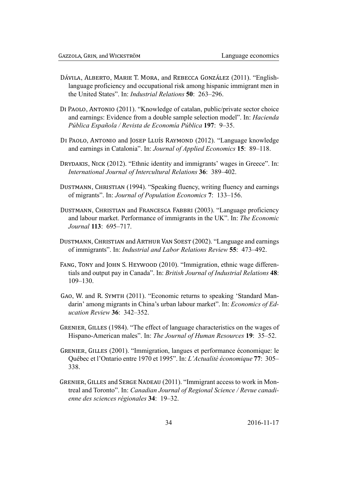- DÁVILA, ALBERTO, MARIE T. MORA, and REBECCA GONZÁLEZ (2011). "Englishlanguage proficiency and occupational risk among hispanic immigrant men in the United States". In: Industrial Relations 50: 263-296.
- DI PAOLO, ANTONIO (2011). "Knowledge of catalan, public/private sector choice and earnings: Evidence from a double sample selection model". In: *Hacienda* Pública Española / Revista de Economía Pública 197: 9-35.
- DI PAOLO, ANTONIO and JOSEP LLUÍS RAYMOND (2012). "Language knowledge and earnings in Catalonia". In: Journal of Applied Economics 15: 89-118.
- DRYDAKIS, NICK (2012). "Ethnic identity and immigrants' wages in Greece". In: International Journal of Intercultural Relations 36: 389–402.
- DUSTMANN, CHRISTIAN (1994). "Speaking fluency, writing fluency and earnings of migrants". In: Journal of Population Economics 7: 133-156.
- DUSTMANN, CHRISTIAN and FRANCESCA FABBRI (2003). "Language proficiency and labour market. Performance of immigrants in the UK". In: The Economic *Journal* 113: 695-717.
- DUSTMANN, CHRISTIAN and ARTHUR VAN SOEST (2002). "Language and earnings of immigrants". In: *Industrial and Labor Relations Review* 55: 473–492.
- FANG, TONY and JOHN S. HEYWOOD (2010). "Immigration, ethnic wage differentials and output pay in Canada". In: British Journal of Industrial Relations 48:  $109 - 130$ .
- GAO, W. and R. SYMTH (2011). "Economic returns to speaking 'Standard Mandarin' among migrants in China's urban labour market". In: *Economics of Ed*ucation Review 36: 342-352.
- GRENIER, GILLES (1984). "The effect of language characteristics on the wages of Hispano-American males". In: The Journal of Human Resources 19: 35–52.
- GRENIER, GILLES (2001). "Immigration, langues et performance économique: le Québec et l'Ontario entre 1970 et 1995". In: L'Actualité économique 77: 305-338
- GRENIER, GILLES and SERGE NADEAU (2011). "Immigrant access to work in Montreal and Toronto". In: Canadian Journal of Regional Science / Revue canadienne des sciences régionales 34: 19–32.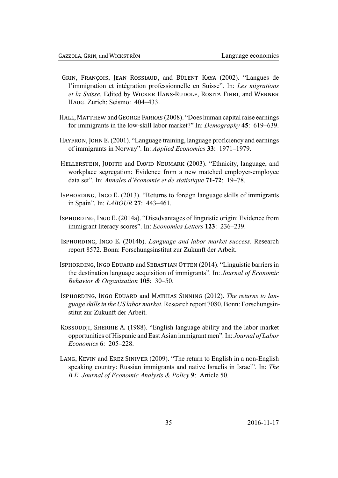- GRIN, FRANÇOIS, JEAN ROSSIAUD, and BÜLENT KAYA (2002). "Langues de l'immigration et intégration professionnelle en Suisse". In: Les migrations et la Suisse. Edited by WICKER HANS-RUDOLF, ROSITA FIBBI, and WERNER HAUG. Zurich: Seismo: 404–433.
- HALL, MATTHEW and GEORGE FARKAS (2008). "Does human capital raise earnings for immigrants in the low-skill labor market?" In: Demography 45: 619–639.
- HAYFRON, JOHN E. (2001). "Language training, language proficiency and earnings of immigrants in Norway". In: *Applied Economics* 33: 1971–1979.
- HELLERSTEIN, JUDITH and DAVID NEUMARK (2003). "Ethnicity, language, and workplace segregation: Evidence from a new matched employer-employee data set". In: Annales d'économie et de statistique 71-72: 19-78.
- ISPHORDING, INGO E. (2013). "Returns to foreign language skills of immigrants in Spain". In: *LABOUR* 27: 443-461.
- ISPHORDING, INGO E. (2014a). "Disadvantages of linguistic origin: Evidence from immigrant literacy scores". In: *Economics Letters* 123: 236–239.
- ISPHORDING, INGO E. (2014b). Language and labor market success. Research report 8572. Bonn: Forschungsinstitut zur Zukunft der Arbeit.
- ISPHORDING, INGO EDUARD and SEBASTIAN OTTEN (2014). "Linguistic barriers in the destination language acquisition of immigrants". In: Journal of Economic Behavior & Organization 105: 30-50.
- ISPHORDING, INGO EDUARD and MATHIAS SINNING (2012). The returns to language skills in the US labor market. Research report 7080. Bonn: Forschungsinstitut zur Zukunft der Arbeit.
- KOSSOUDJI, SHERRIE A. (1988). "English language ability and the labor market opportunities of Hispanic and East Asian immigrant men". In: Journal of Labor Economics 6: 205-228.
- LANG, KEVIN and EREZ SINIVER (2009). "The return to English in a non-English speaking country: Russian immigrants and native Israelis in Israel". In: The B.E. Journal of Economic Analysis & Policy 9: Article 50.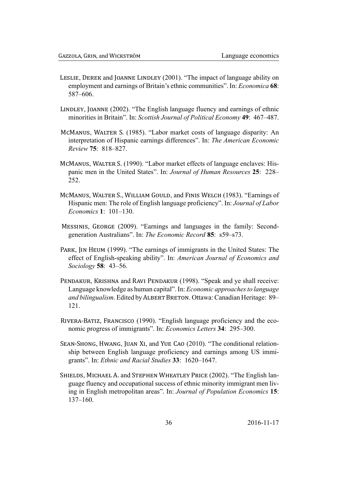- LESLIE, DEREK and JOANNE LINDLEY (2001). "The impact of language ability on employment and earnings of Britain's ethnic communities". In: *Economica* 68: 587-606.
- LINDLEY, JOANNE (2002). "The English language fluency and earnings of ethnic minorities in Britain". In: Scottish Journal of Political Economy 49: 467–487.
- MCMANUS, WALTER S. (1985). "Labor market costs of language disparity: An interpretation of Hispanic earnings differences". In: The American Economic Review 75: 818-827.
- MCMANUS, WALTER S. (1990). "Labor market effects of language enclaves: Hispanic men in the United States". In: Journal of Human Resources 25: 228-252
- MCMANUS, WALTER S., WILLIAM GOULD, and FINIS WELCH (1983). "Earnings of Hispanic men: The role of English language proficiency". In: Journal of Labor *Economics* 1: 101-130.
- MESSINIS, GEORGE (2009). "Earnings and languages in the family: Secondgeneration Australians". In: The Economic Record 85: s59-s73.
- PARK, IN HEUM (1999). "The earnings of immigrants in the United States: The effect of English-speaking ability". In: American Journal of Economics and Sociology 58: 43-56.
- PENDAKUR, KRISHNA and RAVI PENDAKUR (1998). "Speak and ye shall receive: Language knowledge as human capital". In: *Economic approaches to language* and bilingualism. Edited by ALBERT BRETON. Ottawa: Canadian Heritage: 89–  $121.$
- RIVERA-BATIZ, FRANCISCO (1990). "English language proficiency and the economic progress of immigrants". In: *Economics Letters* 34: 295–300.
- SEAN-SHONG, HWANG, JUAN XI, and YUE CAO (2010). "The conditional relationship between English language proficiency and earnings among US immigrants". In: Ethnic and Racial Studies 33: 1620–1647.
- SHIELDS, MICHAEL A. and STEPHEN WHEATLEY PRICE (2002). "The English language fluency and occupational success of ethnic minority immigrant men living in English metropolitan areas". In: Journal of Population Economics 15:  $137 - 160$ .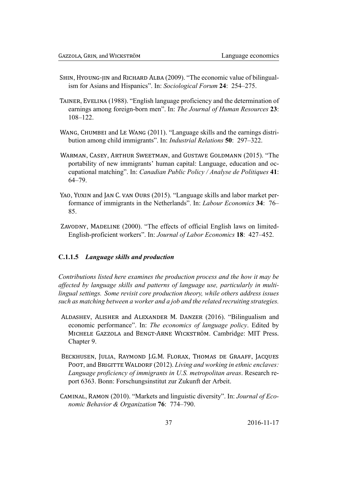- SHIN, HYOUNG-JIN and RICHARD ALBA (2009). "The economic value of bilingualism for Asians and Hispanics". In: Sociological Forum 24: 254–275.
- TAINER, EVELINA (1988). "English language proficiency and the determination of earnings among foreign-born men". In: The Journal of Human Resources 23:  $108 - 122$ .
- WANG, CHUMBEI and LE WANG (2011). "Language skills and the earnings distribution among child immigrants". In: Industrial Relations 50: 297-322.
- WARMAN, CASEY, ARTHUR SWEETMAN, and GUSTAVE GOLDMANN (2015). "The portability of new immigrants' human capital: Language, education and occupational matching". In: Canadian Public Policy / Analyse de Politiques 41:  $64 - 79$
- YAO, YUXIN and JAN C. VAN OURS (2015). "Language skills and labor market performance of immigrants in the Netherlands". In: *Labour Economics* 34: 76– 85.
- ZAVODNY, MADELINE (2000). "The effects of official English laws on limited-English-proficient workers". In: Journal of Labor Economics 18: 427–452.

### <span id="page-37-0"></span>C.1.1.5 Language skills and production

Contributions listed here examines the production process and the how it may be affected by language skills and patterns of language use, particularly in multilingual settings. Some revisit core production theory, while others address issues such as matching between a worker and a job and the related recruiting strategies.

- ALDASHEV, ALISHER and ALEXANDER M. DANZER (2016). "Bilingualism and economic performance". In: The economics of language policy. Edited by MICHELE GAZZOLA and BENGT-ARNE WICKSTRÖM. Cambridge: MIT Press. Chapter 9.
- BECKHUSEN, JULIA, RAYMOND J.G.M. FLORAX, THOMAS DE GRAAFF, JACQUES POOT, and BRIGITTE WALDORF (2012). Living and working in ethnic enclaves: Language proficiency of immigrants in U.S. metropolitan areas. Research report 6363. Bonn: Forschungsinstitut zur Zukunft der Arbeit.
- CAMINAL, RAMON (2010). "Markets and linguistic diversity". In: Journal of Economic Behavior & Organization 76: 774-790.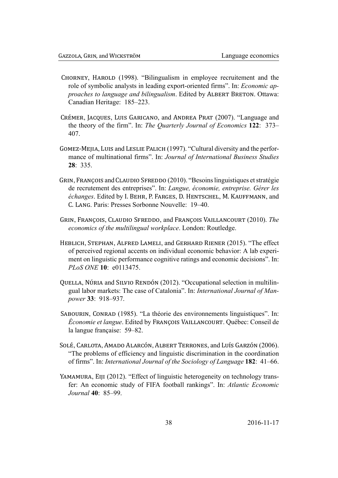- CHORNEY, HAROLD (1998). "Bilingualism in employee recruitement and the role of symbolic analysts in leading export-oriented firms". In: *Economic ap*proaches to language and bilingualism. Edited by ALBERT BRETON. Ottawa: Canadian Heritage: 185-223.
- CRÉMER, JACQUES, LUIS GARICANO, and ANDREA PRAT (2007). "Language and the theory of the firm". In: The Quarterly Journal of Economics 122: 373– 407.
- GOMEZ-MEJIA, LUIS and LESLIE PALICH (1997). "Cultural diversity and the performance of multinational firms". In: Journal of International Business Studies  $28:335$
- GRIN, FRANÇOIS and CLAUDIO SFREDDO (2010). "Besoins linguistiques et stratégie de recrutement des entreprises". In: Langue, économie, entreprise. Gérer les échanges. Edited by I. BEHR, P. FARGES, D. HENTSCHEL, M. KAUFFMANN, and C. LANG. Paris: Presses Sorbonne Nouvelle: 19–40.
- GRIN, FRANÇOIS, CLAUDIO SFREDDO, and FRANÇOIS VAILLANCOURT (2010). The economics of the multilingual workplace. London: Routledge.
- HEBLICH, STEPHAN, ALFRED LAMELI, and GERHARD RIENER (2015). "The effect of perceived regional accents on individual economic behavior: A lab experiment on linguistic performance cognitive ratings and economic decisions". In: *PLoS ONE* 10: e0113475.
- QUELLA, NÚRIA and SILVIO RENDÓN (2012). "Occupational selection in multilingual labor markets: The case of Catalonia". In: International Journal of Manpower 33: 918-937.
- SABOURIN, CONRAD (1985). "La théorie des environnements linguistiques". In: *Économie et langue.* Edited by FRANCOIS VAILLANCOURT. Québec: Conseil de la langue française: 59–82.
- SOLÉ, CARLOTA, AMADO ALARCÓN, ALBERT TERRONES, and LUÍS GARZÓN (2006). "The problems of efficiency and linguistic discrimination in the coordination of firms". In: International Journal of the Sociology of Language 182: 41–66.
- <span id="page-38-0"></span>YAMAMURA, EIJI (2012). "Effect of linguistic heterogeneity on technology transfer: An economic study of FIFA football rankings". In: Atlantic Economic Journal 40: 85–99.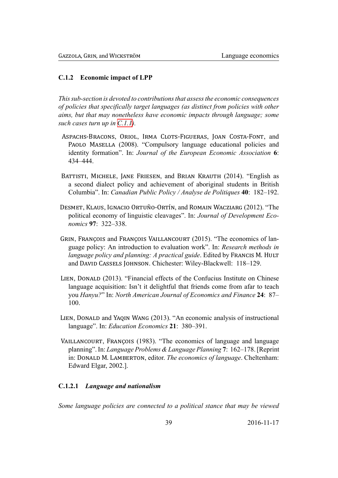### C.1.2 Economic impact of LPP

This sub-section is devoted to contributions that assess the economic consequences of policies that specifically target languages (as distinct from policies with other aims, but that may nonetheless have economic impacts through language; some such cases turn up in  $C.1.1$ ).

- ASPACHS-BRACONS, ORIOL, IRMA CLOTS-FIGUERAS, JOAN COSTA-FONT, and PAOLO MASELLA (2008). "Compulsory language educational policies and identity formation". In: Journal of the European Economic Association 6: 434-444.
- BATTISTI, MICHELE, JANE FRIESEN, and BRIAN KRAUTH (2014). "English as a second dialect policy and achievement of aboriginal students in British Columbia". In: Canadian Public Policy / Analyse de Politiques 40: 182–192.
- DESMET, KLAUS, IGNACIO ORTUÑO-ORTÍN, and ROMAIN WACZIARG (2012). "The political economy of linguistic cleavages". In: Journal of Development Economics 97: 322-338.
- GRIN, FRANÇOIS and FRANÇOIS VAILLANCOURT (2015). "The economics of language policy: An introduction to evaluation work". In: Research methods in language policy and planning: A practical guide. Edited by FRANCIS M. HULT and DAVID CASSELS JOHNSON. Chichester: Wiley-Blackwell: 118–129.
- LIEN, DONALD (2013). "Financial effects of the Confucius Institute on Chinese language acquisition: Isn't it delightful that friends come from a far to teach you Hanyu?" In: North American Journal of Economics and Finance 24: 87–  $100.$
- LIEN, DONALD and YAQIN WANG (2013). "An economic analysis of instructional language". In: *Education Economics* 21: 380–391.
- VAILLANCOURT, FRANÇOIS (1983). "The economics of language and language planning". In: Language Problems & Language Planning 7: 162–178. [Reprint] in: DONALD M. LAMBERTON, editor. The economics of language. Cheltenham: Edward Elgar, 2002.].

### C.1.2.1 Language and nationalism

<span id="page-39-0"></span>Some language policies are connected to a political stance that may be viewed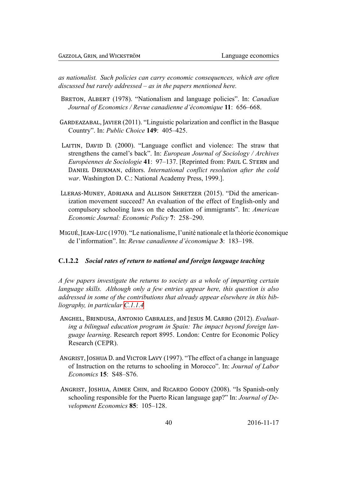as nationalist. Such policies can carry economic consequences, which are often discussed but rarely addressed  $-$  as in the papers mentioned here.

- BRETON, ALBERT (1978). "Nationalism and language policies". In: *Canadian* Journal of Economics / Revue canadienne d'économique 11: 656–668.
- GARDEAZABAL, JAVIER (2011). "Linguistic polarization and conflict in the Basque Country". In: *Public Choice* 149: 405–425.
- LAITIN, DAVID D. (2000). "Language conflict and violence: The straw that strengthens the camel's back". In: *European Journal of Sociology / Archives Européennes de Sociologie* 41: 97–137. [Reprinted from: PAUL C. STERN and DANIEL DRUKMAN, editors. International conflict resolution after the cold war. Washington D. C.: National Academy Press, 1999.].
- LLERAS-MUNEY, ADRIANA and ALLISON SHRETZER (2015). "Did the americanization movement succeed? An evaluation of the effect of English-only and compulsory schooling laws on the education of immigrants". In: American Economic Journal: Economic Policy 7: 258–290.
- MIGUÉ, JEAN-LUC (1970). "Le nationalisme, l'unité nationale et la théorie économique de l'information". In: Revue canadienne d'économique 3: 183–198.

### C.1.2.2 Social rates of return to national and foreign language teaching

<span id="page-40-0"></span>A few papers investigate the returns to society as a whole of imparting certain language skills. Although only a few entries appear here, this question is also addressed in some of the contributions that already appear elsewhere in this bibliography, in particular  $C.1.1.4$ 

- ANGHEL, BRINDUSA, ANTONIO CABRALES, and JESUS M. CARRO (2012). Evaluating a bilingual education program in Spain: The impact beyond foreign language learning. Research report 8995. London: Centre for Economic Policy Research (CEPR).
- ANGRIST, JOSHUA D. and VICTOR LAVY (1997). "The effect of a change in language of Instruction on the returns to schooling in Morocco". In: Journal of Labor Economics 15: S48-S76.
- ANGRIST, JOSHUA, AIMEE CHIN, and RICARDO GODOY (2008). "Is Spanish-only schooling responsible for the Puerto Rican language gap?" In: Journal of Development Economics 85: 105-128.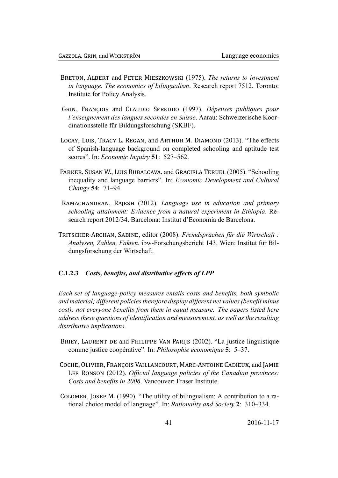- BRETON, ALBERT and PETER MIESZKOWSKI (1975). The returns to investment *in language. The economics of bilingualism.* Research report 7512. Toronto: Institute for Policy Analysis.
- GRIN, FRANÇOIS and CLAUDIO SFREDDO (1997). Dépenses publiques pour l'enseignement des langues secondes en Suisse. Aarau: Schweizerische Koordinationsstelle für Bildungsforschung (SKBF).
- LOCAY, LUIS, TRACY L. REGAN, and ARTHUR M. DIAMOND (2013). "The effects of Spanish-language background on completed schooling and aptitude test scores". In: *Economic Inquiry* 51: 527–562.
- PARKER, SUSAN W., LUIS RUBALCAVA, and GRACIELA TERUEL (2005). "Schooling inequality and language barriers". In: *Economic Development and Cultural* Change 54: 71-94.
- RAMACHANDRAN, RAJESH (2012). Language use in education and primary schooling attainment: Evidence from a natural experiment in Ethiopia. Research report 2012/34. Barcelona: Institut d'Economia de Barcelona.
- TRITSCHER-ARCHAN, SABINE, editor (2008). Fremdsprachen für die Wirtschaft: Analysen, Zahlen, Fakten. ibw-Forschungsbericht 143. Wien: Institut für Bildungsforschung der Wirtschaft.

### <span id="page-41-0"></span>C.1.2.3 Costs, benefits, and distributive effects of LPP

Each set of language-policy measures entails costs and benefits, both symbolic and material; different policies therefore display different net values (benefit minus cost); not everyone benefits from them in equal measure. The papers listed here address these questions of identification and measurement, as well as the resulting distributive implications.

- BRIEY, LAURENT DE and PHILIPPE VAN PARIJS (2002). "La justice linguistique comme justice coopérative". In: Philosophie économique 5: 5-37.
- COCHE, OLIVIER, FRANCOIS VAILLANCOURT, MARC-ANTOINE CADIEUX, and JAMIE LEE RONSON (2012). Official language policies of the Canadian provinces: Costs and benefits in 2006. Vancouver: Fraser Institute.
- COLOMER, JOSEP M. (1990). "The utility of bilingualism: A contribution to a rational choice model of language". In: Rationality and Society 2: 310–334.

41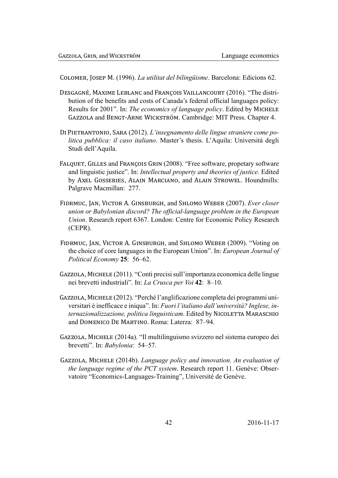COLOMER, JOSEP M. (1996). La utilitat del bilingüisme. Barcelona: Edicions 62.

- DESGAGNÉ, MAXIME LEBLANC and FRANCOIS VAILLANCOURT (2016). "The distribution of the benefits and costs of Canada's federal official languages policy: Results for 2001". In: The economics of language policy. Edited by MICHELE GAZZOLA and BENGT-ARNE WICKSTRÖM. Cambridge: MIT Press. Chapter 4.
- DI PIETRANTONIO, SARA (2012). L'insegnamento delle lingue straniere come politica pubblica: il caso italiano. Master's thesis. L'Aquila: Università degli Studi dell'Aquila.
- FALQUET, GILLES and FRANÇOIS GRIN (2008). "Free software, propetary software and linguistic justice". In: *Intellectual property and theories of justice*. Edited by AXEL GOSSERIES, ALAIN MARCIANO, and ALAIN STROWEL. Houndmills: Palgrave Macmillan: 277.
- FIDRMUC, JAN. VICTOR A. GINSBURGH, and SHLOMO WEBER (2007). Ever closer union or Babylonian discord? The official-language problem in the European Union. Research report 6367. London: Centre for Economic Policy Research  $(CEPR)$ .
- FIDRMUC, JAN, VICTOR A. GINSBURGH, and SHLOMO WEBER (2009). "Voting on the choice of core languages in the European Union". In: European Journal of Political Economy 25: 56–62.
- GAZZOLA, MICHELE (2011). "Conti precisi sull'importanza economica delle lingue nei brevetti industriali". In: La Crusca per Voi 42: 8-10.
- GAZZOLA, MICHELE (2012). "Perché l'anglificazione completa dei programmi universitari è inefficace e iniqua". In: Fuori l'italiano dall'università? Inglese, internazionalizzazione, politica linguisticam. Edited by NICOLETTA MARASCHIO and DOMENICO DE MARTINO, Roma: Laterza: 87-94.
- GAZZOLA, MICHELE (2014a). "Il multilinguismo svizzero nel sistema europeo dei brevetti". In: Babylonia: 54–57.
- GAZZOLA, MICHELE (2014b). Language policy and innovation. An evaluation of the language regime of the PCT system. Research report 11. Genève: Observatoire "Economics-Languages-Training", Université de Genève.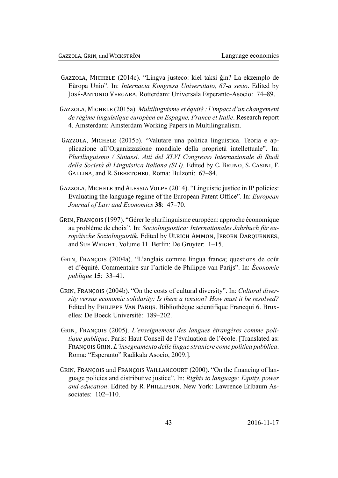- GAZZOLA, MICHELE (2014c). "Lingva justeco: kiel taksi ĝin? La ekzemplo de Eŭropa Unio". In: *Internacia Kongresa Universitato, 67-a sesio*. Edited by JOSÉ-ANTONIO VERGARA. Rotterdam: Universala Esperanto-Asocio: 74–89.
- GAZZOLA, MICHELE (2015a). Multilinguisme et équité : l'impact d'un changement de régime linguistique européen en Espagne, France et Italie, Research report 4. Amsterdam: Amsterdam Working Papers in Multilingualism.
- GAZZOLA, MICHELE (2015b). "Valutare una politica linguistica. Teoria e applicazione all'Organizzazione mondiale della proprietà intellettuale". In: Plurilinguismo / Sintassi. Atti del XLVI Congresso Internazionale di Studi della Società di Linguistica Italiana (SLI). Edited by C. BRUNO, S. CASINI, F. GALLINA, and R. SIEBETCHEU. Roma: Bulzoni: 67-84.
- GAZZOLA, MICHELE and ALESSIA VOLPE (2014). "Linguistic justice in IP policies: Evaluating the language regime of the European Patent Office". In: *European* Journal of Law and Economics 38: 47-70.
- GRIN, FRANÇOIS (1997). "Gérer le plurilinguisme européen: approche économique au problème de choix". In: Sociolinguistica: Internationales Jahrbuch für europäische Soziolinguistik. Edited by ULRICH AMMON, JEROEN DARQUENNES, and SUE WRIGHT. Volume 11. Berlin: De Gruyter: 1-15.
- GRIN, FRANCOIS (2004a). "L'anglais comme lingua franca: questions de coût et d'équité. Commentaire sur l'article de Philippe van Parijs". In: Économie *publique* **15**: 33–41.
- GRIN, FRANCOIS (2004b). "On the costs of cultural diversity". In: Cultural diversity versus economic solidarity: Is there a tension? How must it be resolved? Edited by PHILIPPE VAN PARIJS. Bibliothèque scientifique Francqui 6. Bruxelles: De Boeck Université: 189–202.
- GRIN, FRANÇOIS (2005). L'enseignement des langues étrangères comme politique publique. Paris: Haut Conseil de l'évaluation de l'école. [Translated as: FRANÇOIS GRIN. L'insegnamento delle lingue straniere come politica pubblica. Roma: "Esperanto" Radikala Asocio, 2009.].
- GRIN, FRANCOIS and FRANCOIS VAILLANCOURT (2000). "On the financing of language policies and distributive justice". In: Rights to language: Equity, power and education. Edited by R. PHILLIPSON. New York: Lawrence Erlbaum Associates: 102-110.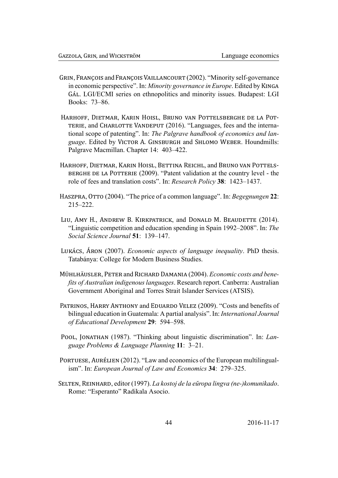- GRIN, FRANCOIS and FRANCOIS VAILLANCOURT (2002). "Minority self-governance in economic perspective". In: Minority governance in Europe. Edited by KINGA GÁL, LGI/ECMI series on ethnopolitics and minority issues. Budapest: LGI Books: 73-86.
- HARHOFF, DIETMAR, KARIN HOISL, BRUNO VAN POTTELSBERGHE DE LA POT-TERIE, and CHARLOTTE VANDEPUT (2016). "Languages, fees and the international scope of patenting". In: The Palgrave handbook of economics and language. Edited by VICTOR A. GINSBURGH and SHLOMO WEBER. Houndmills: Palgrave Macmillan. Chapter 14: 403-422.
- HARHOFF, DIETMAR, KARIN HOISL, BETTINA REICHL, and BRUNO VAN POTTELS-BERGHE DE LA POTTERIE (2009). "Patent validation at the country level - the role of fees and translation costs". In: Research Policy 38: 1423–1437.
- HASZPRA, OTTO (2004). "The price of a common language". In: Begegnungen 22:  $215 - 222$ .
- LIU, AMY H., ANDREW B. KIRKPATRICK, and DONALD M. BEAUDETTE (2014). "Linguistic competition and education spending in Spain 1992–2008". In: The Social Science Journal 51: 139–147.
- LUKÁCS, ÁRON (2007). *Economic aspects of language inequality*. PhD thesis. Tatabánya: College for Modern Business Studies.
- MÜHLHÄUSLER, PETER and RICHARD DAMANIA (2004). Economic costs and benefits of Australian indigenous languages. Research report. Canberra: Australian Government Aboriginal and Torres Strait Islander Services (ATSIS).
- PATRINOS, HARRY ANTHONY and EDUARDO VELEZ (2009). "Costs and benefits of bilingual education in Guatemala: A partial analysis". In: *International Journal* of Educational Development 29: 594-598.
- POOL, JONATHAN (1987). "Thinking about linguistic discrimination". In: Language Problems & Language Planning 11: 3-21.
- PORTUESE, AURÉLIEN (2012). "Law and economics of the European multilingualism". In: European Journal of Law and Economics 34: 279–325.
- SELTEN, REINHARD, editor (1997). La kostoj de la eŭropa lingva (ne-)komunikado. Rome: "Esperanto" Radikala Asocio.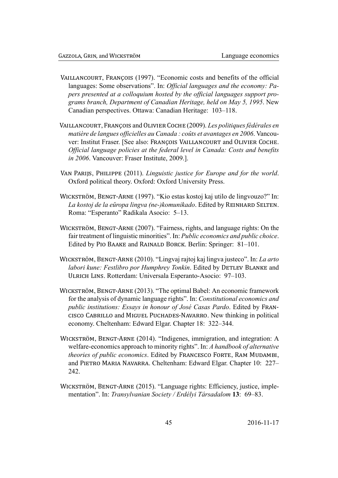- VAILLANCOURT, FRANÇOIS (1997). "Economic costs and benefits of the official languages: Some observations". In: Official languages and the economy: Papers presented at a colloquium hosted by the official languages support programs branch, Department of Canadian Heritage, held on May 5, 1995. New Canadian perspectives. Ottawa: Canadian Heritage: 103-118.
- VAILLANCOURT, FRANCOIS and OLIVIER COCHE (2009). Les politiques fédérales en matière de langues officielles au Canada : coûts et avantages en 2006. Vancouver: Institut Fraser. [See also: FRANCOIS VAILLANCOURT and OLIVIER COCHE. Official language policies at the federal level in Canada: Costs and benefits in 2006. Vancouver: Fraser Institute, 2009.].
- VAN PARIJS, PHILIPPE (2011). Linguistic justice for Europe and for the world. Oxford political theory. Oxford: Oxford University Press.
- WICKSTRÖM, BENGT-ARNE (1997). "Kio estas kostoj kaj utilo de lingvouzo?" In: La kostoj de la eŭropa lingva (ne-)komunikado. Edited by REINHARD SELTEN. Roma: "Esperanto" Radikala Asocio: 5-13.
- WICKSTRÖM, BENGT-ARNE (2007). "Fairness, rights, and language rights: On the fair treatment of linguistic minorities". In: Public economics and public choice. Edited by PIO BAAKE and RAINALD BORCK. Berlin: Springer: 81–101.
- WICKSTRÖM, BENGT-ARNE (2010). "Lingvaj rajtoj kaj lingva justeco". In: La arto labori kune: Festlibro por Humphrey Tonkin. Edited by DETLEV BLANKE and ULRICH LINS. Rotterdam: Universala Esperanto-Asocio: 97-103.
- WICKSTRÖM, BENGT-ARNE (2013). "The optimal Babel: An economic framework for the analysis of dynamic language rights". In: Constitutional economics and public institutions: Essays in honour of José Casas Pardo. Edited by FRAN-CISCO CABRILLO and MIGUEL PUCHADES-NAVARRO. New thinking in political economy. Cheltenham: Edward Elgar. Chapter 18: 322-344.
- WICKSTRÖM, BENGT-ARNE (2014). "Indigenes, immigration, and integration: A welfare-economics approach to minority rights". In: A handbook of alternative *theories of public economics.* Edited by FRANCESCO FORTE, RAM MUDAMBI, and PIETRO MARIA NAVARRA. Cheltenham: Edward Elgar. Chapter 10: 227-242
- WICKSTRÖM, BENGT-ARNE (2015). "Language rights: Efficiency, justice, implementation". In: Transvlvanian Society / Erdélyi Társadalom 13: 69–83.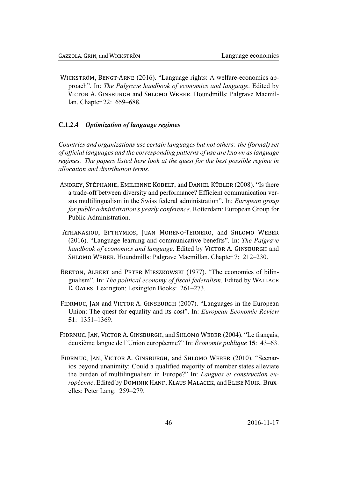WICKSTRÖM, BENGT-ARNE (2016). "Language rights: A welfare-economics approach". In: The Palgrave handbook of economics and language. Edited by VICTOR A. GINSBURGH and SHLOMO WEBER. Houndmills: Palgrave Macmillan. Chapter 22: 659–688.

### <span id="page-46-0"></span>C.1.2.4 Optimization of language regimes

Countries and organizations use certain languages but not others: the (formal) set of official languages and the corresponding patterns of use are known as language regimes. The papers listed here look at the quest for the best possible regime in allocation and distribution terms.

- ANDREY, STÉPHANIE, EMILIENNE KOBELT, and DANIEL KÜBLER (2008). "Is there a trade-off between diversity and performance? Efficient communication versus multilingualism in the Swiss federal administration". In: *European group* for public administration's yearly conference. Rotterdam: European Group for Public Administration
- ATHANASIOU, EFTHYMIOS, JUAN MORENO-TERNERO, and SHLOMO WEBER (2016). "Language learning and communicative benefits". In: The Palgrave handbook of economics and language. Edited by VICTOR A. GINSBURGH and SHLOMO WEBER. Houndmills: Palgrave Macmillan. Chapter 7: 212-230.
- BRETON, ALBERT and PETER MIESZKOWSKI (1977). "The economics of bilingualism". In: The political economy of fiscal federalism. Edited by WALLACE E. OATES. Lexington: Lexington Books: 261–273.
- FIDRMUC, JAN and VICTOR A. GINSBURGH (2007). "Languages in the European Union: The quest for equality and its cost". In: *European Economic Review*  $51: 1351 - 1369.$
- FIDRMUC, JAN, VICTOR A. GINSBURGH, and SHLOMO WEBER (2004). "Le français, deuxième langue de l'Union européenne?" In: Économie publique 15: 43–63.
- FIDRMUC, JAN, VICTOR A. GINSBURGH, and SHLOMO WEBER (2010). "Scenarios beyond unanimity: Could a qualified majority of member states alleviate the burden of multilingualism in Europe?" In: *Langues et construction eu*ropéenne. Edited by DOMINIK HANF, KLAUS MALACEK, and ELISE MUIR. Bruxelles: Peter Lang: 259–279.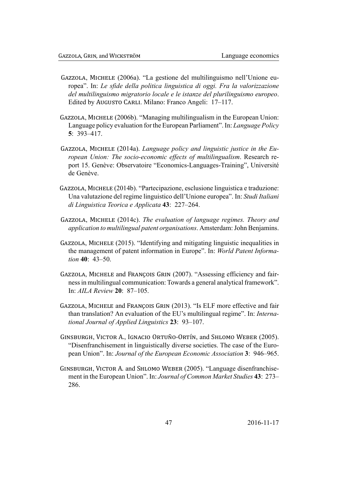- GAZZOLA, MICHELE (2006a). "La gestione del multilinguismo nell'Unione europea". In: *Le sfide della politica linguistica di oggi. Fra la valorizzazione del multilinguismo migratorio locale e le istanze del plurilinguismo europeo*. Edited by AUGUSTO CARLI. Milano: Franco Angeli: 17–117.
- GAZZOLA, MICHELE (2006b). "Managing multilingualism in the European Union: Language policy evaluation for the European Parliament". In: *Language Policy* **5**: 393–417.
- GAZZOLA, MICHELE (2014a). *Language policy and linguistic justice in the European Union: The socio-economic effects of multilingualism*. Research report 15. Genève: Observatoire "Economics-Languages-Training", Université de Genève.
- GAZZOLA, MICHELE (2014b). "Partecipazione, esclusione linguistica e traduzione: Una valutazione del regime linguistico dell'Unione europea". In: *Studi Italiani di Linguistica Teorica e Applicata* **43**: 227–264.
- GAZZOLA, MICHELE (2014c). *The evaluation of language regimes. Theory and application to multilingual patent organisations*. Amsterdam: John Benjamins.
- GAZZOLA, MICHELE  $(2015)$ . "Identifying and mitigating linguistic inequalities in the management of patent information in Europe". In: *World Patent Information* **40**: 43–50.
- GAZZOLA, MICHELE and FRANÇOIS GRIN (2007). "Assessing efficiency and fairness in multilingual communication: Towards a general analytical framework". In: *AILA Review* **20**: 87–105.
- GAZZOLA, MICHELE and FRANÇOIS GRIN (2013). "Is ELF more effective and fair than translation? An evaluation of the EU's multilingual regime". In: *International Journal of Applied Linguistics* **23**: 93–107.
- GINSBURGH, VICTOR A., IGNACIO ORTUÑO-ORTÍN, and SHLOMO WEBER (2005). "Disenfranchisement in linguistically diverse societies. The case of the European Union". In: *Journal of the European Economic Association* **3**: 946–965.
- GINSBURGH, VICTOR A. and SHLOMO WEBER (2005). "Language disenfranchisement in the European Union". In: *Journal of Common Market Studies* **43**: 273– 286.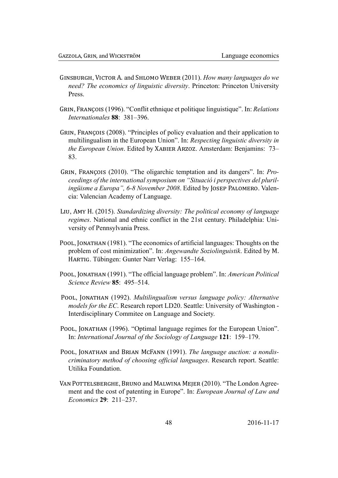- GINSBURGH, VICTOR A. and SHLOMO WEBER (2011). How many languages do we need? The economics of linguistic diversity. Princeton: Princeton University Press
- GRIN, FRANCOIS (1996). "Conflit ethnique et politique linguistique". In: Relations Internationales 88: 381-396.
- GRIN, FRANÇOIS (2008). "Principles of policy evaluation and their application to multilingualism in the European Union". In: Respecting linguistic diversity in the European Union. Edited by XABIER ARZOZ. Amsterdam: Benjamins: 73– 83.
- GRIN, FRANCOIS (2010). "The oligarchic temptation and its dangers". In: Proceedings of the international symposium on "Situació i perspectives del plurilingüisme a Europa", 6-8 November 2008. Edited by JOSEP PALOMERO. Valencia: Valencian Academy of Language.
- LIU, AMY H. (2015). Standardizing diversity: The political economy of language regimes. National and ethnic conflict in the 21st century. Philadelphia: University of Pennsylvania Press.
- POOL, JONATHAN (1981). "The economics of artificial languages: Thoughts on the problem of cost minimization". In: Angewandte Soziolinguistik. Edited by M. HARTIG. Tübingen: Gunter Narr Verlag: 155–164.
- POOL, JONATHAN (1991). "The official language problem". In: American Political Science Review 85: 495-514.
- POOL, JONATHAN (1992). Multilingualism versus language policy: Alternative *models for the EC.* Research report LD20. Seattle: University of Washington -Interdisciplinary Commitee on Language and Society.
- POOL, JONATHAN (1996). "Optimal language regimes for the European Union". In: International Journal of the Sociology of Language 121: 159–179.
- POOL, JONATHAN and BRIAN MCFANN (1991). The language auction: a nondiscriminatory method of choosing official languages. Research report. Seattle: Utilika Foundation
- VAN POTTELSBERGHE, BRUNO and MALWINA MEJER (2010). "The London Agreement and the cost of patenting in Europe". In: European Journal of Law and *Economics* 29: 211-237.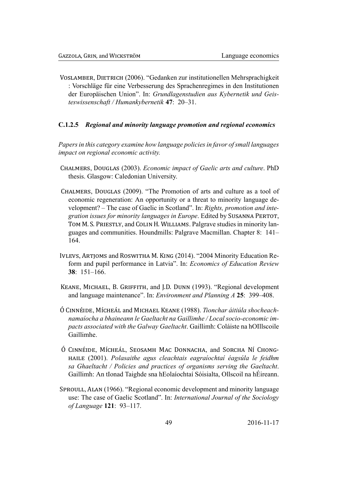VOSLAMBER, DIETRICH (2006). "Gedanken zur institutionellen Mehrsprachigkeit : Vorschläge für eine Verbesserung des Sprachenregimes in den Institutionen der Europäischen Union". In: Grundlagenstudien aus Kybernetik und Geisteswissenschaft / Humankybernetik 47: 20-31.

### <span id="page-49-0"></span>C.1.2.5 Regional and minority language promotion and regional economics

Papers in this category examine how language policies in favor of small languages impact on regional economic activity.

- CHALMERS, DOUGLAS (2003). Economic impact of Gaelic arts and culture. PhD thesis. Glasgow: Caledonian University.
- CHALMERS, DOUGLAS (2009). "The Promotion of arts and culture as a tool of economic regeneration: An opportunity or a threat to minority language development? – The case of Gaelic in Scotland". In: Rights, promotion and integration issues for minority languages in Europe. Edited by SUSANNA PERTOT, TOM M. S. PRIESTLY, and COLIN H. WILLIAMS. Palgrave studies in minority languages and communities. Houndmills: Palgrave Macmillan. Chapter 8: 141-164.
- IVLEVS, ARTJOMS and ROSWITHA M. KING (2014). "2004 Minority Education Reform and pupil performance in Latvia". In: Economics of Education Review  $38: 151 - 166.$
- KEANE, MICHAEL, B. GRIFFITH, and J.D. DUNN (1993). "Regional development and language maintenance". In: *Environment and Planning A* 25: 399–408.
- Ó CINNÉIDE, MÍCHEÁL and MICHAEL KEANE (1988). Tionchar áitiúla shocheachnamaíocha a bhaineann le Gaeltacht na Gaillimhe / Local socio-economic impacts associated with the Galway Gaeltacht. Gaillimh: Coláiste na hOIllscoile Gaillimhe
- Ó CINNÉIDE, MÍCHEÁL, SEOSAMH MAC DONNACHA, and SORCHA NÍ CHONG-HAILE (2001). Polasaithe agus cleachtais eagraíochtaí éagsúla le feidhm sa Ghaeltacht / Policies and practices of organisms serving the Gaeltacht. Gaillimh: An tIonad Taighde sna hEolaíochtaí Sóisialta, Ollscoil na hÉireann.
- SPROULL, ALAN (1966). "Regional economic development and minority language use: The case of Gaelic Scotland". In: International Journal of the Sociology of Language 121: 93-117.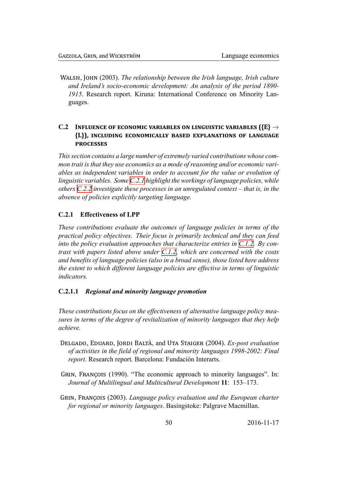WALSH, JOHN (2003). The relationship between the Irish language, Irish culture and Ireland's socio-economic development: An analysis of the period 1890-1915. Research report. Kiruna: International Conference on Minority Languages.

### C.2 INFLUENCE OF ECONOMIC VARIABLES ON LINGUISTIC VARIABLES ( $\{E\} \rightarrow$ {L}), INCLUDING ECONOMICALLY BASED EXPLANATIONS OF LANGUAGE **PROCESSES**

<span id="page-50-0"></span>This section contains a large number of extremely varied contributions whose common trait is that they use economics as a mode of reasoning and/or economic variables as independent variables in order to account for the value or evolution of linguistic variables. Some C.2.1 highlight the workings of language policies, while others  $C.2.2$  investigate these processes in an unregulated context – that is, in the absence of policies explicitly targeting language.

### C.2.1 Effectiveness of LPP

<span id="page-50-1"></span>These contributions evaluate the outcomes of language policies in terms of the practical policy objectives. Their focus is primarily technical and they can feed into the policy evaluation approaches that characterize entries in  $C.1.2$ . By contrast with papers listed above under C.1.2, which are concerned with the costs and benefits of language policies (also in a broad sense), those listed here address the extent to which different language policies are effective in terms of linguistic *indicators.* 

### C.2.1.1 Regional and minority language promotion

<span id="page-50-2"></span>These contributions focus on the effectiveness of alternative language policy measures in terms of the degree of revitalization of minority languages that they help achieve.

- DELGADO, EDUARD, JORDI BALTÀ, and UTA STAIGER (2004). Ex-post evaluation of activities in the field of regional and minority languages 1998-2002: Final *report*. Research report. Barcelona: Fundación Interarts.
- GRIN, FRANÇOIS (1990). "The economic approach to minority languages". In: Journal of Multilingual and Multicultural Development 11: 153–173.
- GRIN, FRANÇOIS (2003). Language policy evaluation and the European charter for regional or minority languages. Basingstoke: Palgrave Macmillan.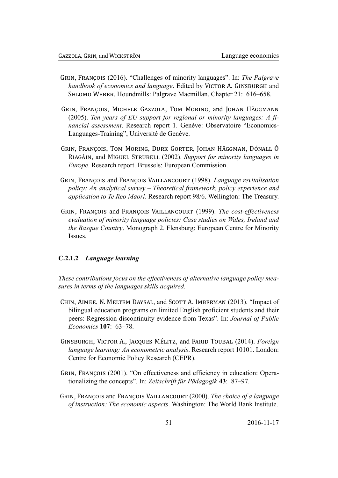- GRIN, FRANCOIS (2016). "Challenges of minority languages". In: *The Palgrave* handbook of economics and language. Edited by VICTOR A. GINSBURGH and SHLOMO WEBER. Houndmills: Palgrave Macmillan. Chapter 21: 616–658.
- GRIN, FRANÇOIS, MICHELE GAZZOLA, TOM MORING, and JOHAN HÄGGMANN (2005). Ten vears of EU support for regional or minority languages: A fi*nancial assessment.* Research report 1. Genève: Observatoire "Economics-Languages-Training", Université de Genève.
- GRIN, FRANÇOIS, TOM MORING, DURK GORTER, JOHAN HÄGGMAN, DÓNALL Ó RIAGÁIN, and MIGUEL STRUBELL (2002). Support for minority languages in *Europe*. Research report. Brussels: European Commission.
- GRIN, FRANCOIS and FRANCOIS VAILLANCOURT (1998). Language revitalisation policy: An analytical survey – Theoretical framework, policy experience and *application to Te Reo Maori.* Research report 98/6. Wellington: The Treasury.
- GRIN, FRANÇOIS and FRANÇOIS VAILLANCOURT (1999). The cost-effectiveness evaluation of minority language policies: Case studies on Wales, Ireland and *the Basque Country.* Monograph 2. Flensburg: European Centre for Minority **Issues**

### <span id="page-51-0"></span>C.2.1.2 Language learning

These contributions focus on the effectiveness of alternative language policy measures in terms of the languages skills acquired.

- CHIN, AIMEE, N. MELTEM DAYSAL, and SCOTT A. IMBERMAN (2013). "Impact of bilingual education programs on limited English proficient students and their peers: Regression discontinuity evidence from Texas". In: Journal of Public *Economics* 107: 63–78.
- GINSBURGH, VICTOR A., JACQUES MÉLITZ, and FARID TOUBAL (2014). Foreign language learning: An econometric analysis. Research report 10101. London: Centre for Economic Policy Research (CEPR).
- GRIN, FRANÇOIS (2001). "On effectiveness and efficiency in education: Operationalizing the concepts". In: Zeitschrift für Pädagogik 43: 87–97.
- GRIN, FRANCOIS and FRANCOIS VAILLANCOURT (2000). The choice of a language of instruction: The economic aspects. Washington: The World Bank Institute.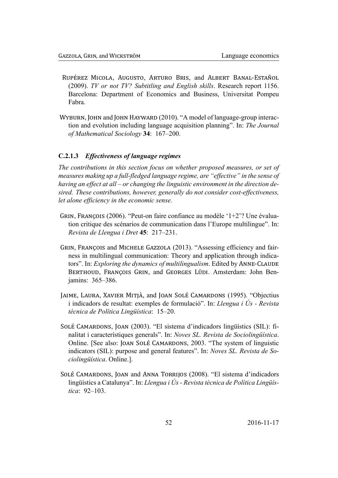- RUPÉREZ MICOLA, AUGUSTO, ARTURO BRIS, and ALBERT BANAL-ESTAÑOL (2009). TV or not TV? Subtitling and English skills. Research report 1156. Barcelona: Department of Economics and Business, Universitat Pompeu Fabra.
- WYBURN, JOHN and JOHN HAYWARD (2010). "A model of language-group interaction and evolution including language acquisition planning". In: The Journal of Mathematical Sociology 34: 167-200.

#### <span id="page-52-0"></span> $C.2.1.3$ **Effectiveness of language regimes**

The contributions in this section focus on whether proposed measures, or set of measures making up a full-fledged language regime, are "effective" in the sense of having an effect at all – or changing the linguistic environment in the direction desired. These contributions, however, generally do not consider cost-effectiveness, let alone efficiency in the economic sense.

- GRIN, FRANÇOIS (2006). "Peut-on faire confiance au modèle ' $1+2$ ? Une évaluation critique des scénarios de communication dans l'Europe multilingue". In: Revista de Llengua i Dret 45: 217-231.
- GRIN, FRANÇOIS and MICHELE GAZZOLA (2013). "Assessing efficiency and fairness in multilingual communication: Theory and application through indicators". In: Exploring the dynamics of multilingualism. Edited by ANNE-CLAUDE BERTHOUD, FRANÇOIS GRIN, and GEORGES LÜDI. Amsterdam: John Benjamins: 365-386.
- JAIME, LAURA, XAVIER MITJÀ, and JOAN SOLÉ CAMARDONS (1995). "Objectius i indicadors de resultat: exemples de formulació". In: Llengua i Ús - Revista tècnica de Política Lingüística: 15-20.
- SOLÉ CAMARDONS, JOAN (2003). "El sistema d'indicadors lingüístics (SIL): finalitat i característiques generals". In: Noves SL. Revista de Sociolingüística. Online. [See also: JOAN SOLÉ CAMARDONS, 2003. "The system of linguistic indicators (SIL): purpose and general features". In: Noves SL. Revista de Sociolingüística. Online.].
- <span id="page-52-1"></span>SOLÉ CAMARDONS, JOAN and ANNA TORRIJOS (2008). "El sistema d'indicadors lingüístics a Catalunya". In: Llengua i Ús - Revista tècnica de Política Lingüís $tica$  92–103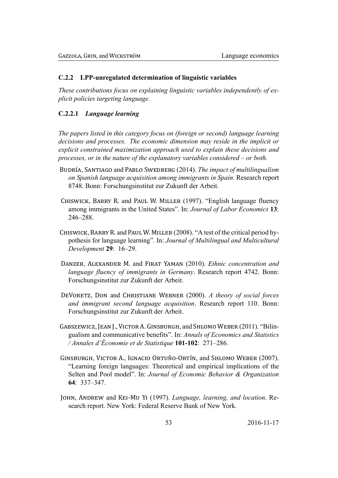#### LPP-unregulated determination of linguistic variables  $C.2.2$

These contributions focus on explaining linguistic variables independently of explicit policies targeting language.

### <span id="page-53-0"></span>C.2.2.1 Language learning

The papers listed in this category focus on (foreign or second) language learning decisions and processes. The economic dimension may reside in the implicit or explicit constrained maximization approach used to explain these decisions and processes, or in the nature of the explanatory variables considered – or both.

- BUDRÍA, SANTIAGO and PABLO SWEDBERG (2014). The impact of multilingualism on Spanish language acquisition among immigrants in Spain. Research report 8748. Bonn: Forschungsinstitut zur Zukunft der Arbeit.
- CHISWICK, BARRY R. and PAUL W. MILLER (1997). "English language fluency among immigrants in the United States". In: Journal of Labor Economics 13: 246-288.
- CHISWICK, BARRY R. and PAUL W. MILLER (2008). "A test of the critical period hypothesis for language learning". In: Journal of Multilingual and Multicultural Development 29: 16-29.
- DANZER, ALEXANDER M. and FIRAT YAMAN (2010). Ethnic concentration and language fluency of immigrants in Germany. Research report 4742. Bonn: Forschungsinstitut zur Zukunft der Arbeit.
- DEVORETZ, DON and CHRISTIANE WERNER (2000). A theory of social forces and immigrant second language acquisition. Research report 110. Bonn: Forschungsinstitut zur Zukunft der Arbeit.
- GABSZEWICZ, JEAN L. VICTOR A. GINSBURGH, and SHLOMO WEBER (2011). "Bilingualism and communicative benefits". In: Annals of Economics and Statistics / Annales d'Économie et de Statistique 101-102: 271-286.
- GINSBURGH, VICTOR A., IGNACIO ORTUÑO-ORTÍN, and SHLOMO WEBER (2007). "Learning foreign languages: Theoretical and empirical implications of the Selten and Pool model". In: Journal of Economic Behavior & Organization  $64: 337 - 347$ .
- JOHN, ANDREW and KEI-MU YI (1997). Language, learning, and location. Research report. New York: Federal Reserve Bank of New York.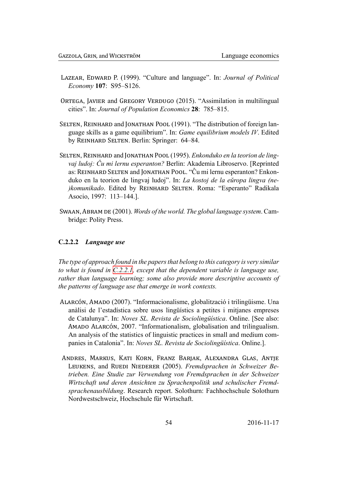- LAZEAR, EDWARD P. (1999). "Culture and language". In: *Journal of Political* Economy 107: S95-S126.
- ORTEGA, JAVIER and GREGORY VERDUGO (2015). "Assimilation in multilingual cities". In: Journal of Population Economics 28: 785-815.
- SELTEN, REINHARD and JONATHAN POOL (1991). "The distribution of foreign language skills as a game equilibrium". In: Game equilibrium models IV. Edited by REINHARD SELTEN. Berlin: Springer: 64–84.
- SELTEN, REINHARD and JONATHAN POOL (1995). Enkonduko en la teorion de lingvaj ludoj: Ĉu mi lernu esperanton? Berlin: Akademia Libroservo. [Reprinted] as: REINHARD SELTEN and JONATHAN POOL. "Cu mi lernu esperanton? Enkonduko en la teorion de lingvaj ludoj". In: La kostoj de la eŭropa lingva (ne-) komunikado. Edited by REINHARD SELTEN. Roma: "Esperanto" Radikala Asocio, 1997: 113-144.].
- SWAAN, ABRAM DE (2001). Words of the world. The global language system. Cambridge: Polity Press.

### C.2.2.2 Language use

The type of approach found in the papers that belong to this category is very similar to what is found in  $C.2.2.1$ , except that the dependent variable is language use, rather than language learning; some also provide more descriptive accounts of the patterns of language use that emerge in work contexts.

- ALARCÓN, AMADO (2007). "Informacionalisme, globalització i trilingüisme. Una anàlisi de l'estadística sobre usos lingüístics a petites i mitjanes empreses de Catalunya". In: Noves SL. Revista de Sociolingüística. Online. [See also: AMADO ALARCÓN, 2007. "Informationalism, globalisation and trilingualism. An analysis of the statistics of linguistic practices in small and medium companies in Catalonia". In: Noves SL. Revista de Sociolingüística. Online.].
- ANDRES, MARKUS, KATI KORN, FRANZ BARJAK, ALEXANDRA GLAS, ANTJE LEUKENS, and RUEDI NIEDERER (2005). Fremdsprachen in Schweizer Betrieben. Eine Studie zur Verwendung von Fremdsprachen in der Schweizer Wirtschaft und deren Ansichten zu Sprachenpolitik und schulischer Fremdsprachenausbildung. Research report. Solothurn: Fachhochschule Solothurn Nordwestschweiz, Hochschule für Wirtschaft.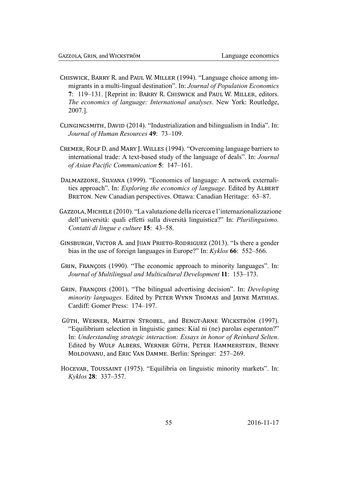- CHISWICK, BARRY R. and PAUL W. MILLER (1994). "Language choice among immigrants in a multi-lingual destination". In: Journal of Population Economics 7: 119–131. [Reprint in: BARRY R. CHISWICK and PAUL W. MILLER, editors.] The economics of language: International analyses. New York: Routledge, 2007.].
- CLINGINGSMITH, DAVID (2014). "Industrialization and bilingualism in India". In: Journal of Human Resources 49: 73-109.
- CREMER, ROLF D. and MARY J. WILLES (1994). "Overcoming language barriers to international trade: A text-based study of the language of deals". In: Journal of Asian Pacific Communication 5: 147-161.
- DALMAZZONE, SILVANA (1999). "Economics of language: A network externalities approach". In: *Exploring the economics of language*. Edited by ALBERT BRETON. New Canadian perspectives. Ottawa: Canadian Heritage: 63–87.
- GAZZOLA, MICHELE (2010). "La valutazione della ricerca e l'internazionalizzazione dell'università: quali effetti sulla diversità linguistica?" In: Plurilinguismo. Contatti di lingue e culture 15: 43-58.
- GINSBURGH, VICTOR A. and JUAN PRIETO-RODRIGUEZ (2013). "Is there a gender bias in the use of foreign languages in Europe?" In: Kyklos 66: 552–566.
- GRIN, FRANÇOIS (1990). "The economic approach to minority languages". In: Journal of Multilingual and Multicultural Development 11: 153-173.
- GRIN, FRANCOIS (2001). "The bilingual advertising decision". In: Developing minority languages. Edited by PETER WYNN THOMAS and JAYNE MATHIAS. Cardiff: Gomer Press: 174-197.
- GÜTH, WERNER, MARTIN STROBEL, and BENGT-ARNE WICKSTRÖM (1997). "Equilibrium selection in linguistic games: Kial ni (ne) parolas esperanton?" In: Understanding strategic interaction: Essays in honor of Reinhard Selten. Edited by WULF ALBERS, WERNER GÜTH, PETER HAMMERSTEIN, BENNY MOLDOVANU, and ERIC VAN DAMME. Berlin: Springer: 257–269.
- HOCEVAR, TOUSSAINT (1975). "Equilibria on linguistic minority markets". In: Kyklos 28: 337–357.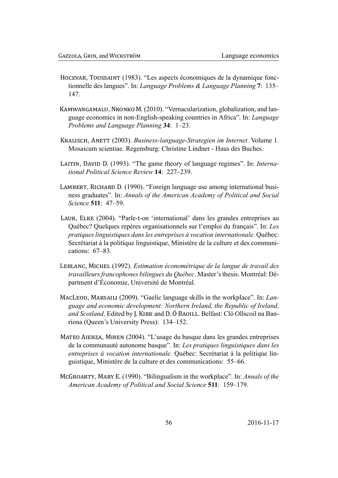- HOCEVAR, TOUSSAINT (1983). "Les aspects économiques de la dynamique fonctionnelle des langues". In: Language Problems & Language Planning 7: 135-147
- KAMWANGAMALU, NKONKO M. (2010). "Vernacularization, globalization, and language economics in non-English-speaking countries in Africa". In: Language Problems and Language Planning 34: 1-23.
- KRALISCH, ANETT (2003). Business-language-Strategien im Internet. Volume 1. Mosaicum scientiae. Regensburg: Christine Lindner - Haus des Buches.
- LAITIN, DAVID D. (1993). "The game theory of language regimes". In: *Interna*tional Political Science Review 14: 227-239.
- LAMBERT, RICHARD D. (1990). "Foreign language use among international business graduates". In: Annals of the American Academy of Political and Social Science 511: 47-59.
- LAUR, ELKE (2004). "Parle-t-on 'international' dans les grandes entreprises au Québec? Quelques repères organisationnels sur l'emploi du français". In: Les pratiques linguistiques dans les entreprises à vocation internationale. Québec: Secrétariat à la politique linguistique, Ministère de la culture et des communications:  $67-83$ .
- LEBLANC, MICHEL (1992). Estimation économétrique de la langue de travail des travailleurs francophones bilingues du Québec. Master's thesis. Montréal: Départment d'Économie, Université de Montréal.
- MACLEOD, MARSAILI (2009). "Gaelic language skills in the workplace". In: Language and economic development: Northern Ireland, the Republic of Ireland, and Scotland. Edited by J. KIRK and D. Ó BAOILL. Belfast: Cló Ollscoil na Banríona (Queen's University Press): 134–152.
- MATEO AIERZA, MIREN (2004). "L'usage du basque dans les grandes entreprises de la communauté autonome basque". In: Les pratiques linguistiques dans les entreprises à vocation internationale. Québec: Secrétariat à la politique linguistique, Ministère de la culture et des communications: 55–66.
- MCGROARTY, MARY E. (1990). "Bilingualism in the workplace". In: Annals of the American Academy of Political and Social Science 511: 159-179.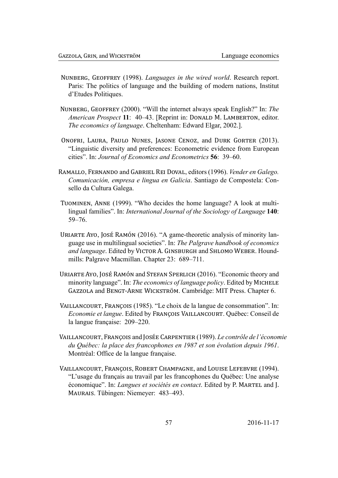- NUNBERG, GEOFFREY (1998). Languages in the wired world. Research report. Paris: The politics of language and the building of modern nations. Institut d'Etudes Politiques.
- NUNBERG, GEOFFREY (2000). "Will the internet always speak English?" In: The American Prospect 11: 40–43. [Reprint in: DONALD M. LAMBERTON, editor.] *The economics of language.* Cheltenham: Edward Elgar, 2002.].
- ONOFRI, LAURA, PAULO NUNES, JASONE CENOZ, and DURK GORTER (2013). "Linguistic diversity and preferences: Econometric evidence from European cities". In: Journal of Economics and Econometrics 56: 39–60.
- RAMALLO, FERNANDO and GABRIEL REI DOVAL, editors (1996). Vender en Galego. Comunicación, empresa e lingua en Galicia. Santiago de Compostela: Consello da Cultura Galega.
- TUOMINEN, ANNE (1999). "Who decides the home language? A look at multilingual families". In: *International Journal of the Sociology of Language* 140:  $59 - 76$
- URIARTE AYO, JOSÉ RAMÓN (2016). "A game-theoretic analysis of minority language use in multilingual societies". In: The Palgrave handbook of economics and language. Edited by VICTOR A. GINSBURGH and SHLOMO WEBER. Houndmills: Palgrave Macmillan. Chapter 23: 689-711.
- URIARTE AYO, JOSÉ RAMÓN and STEFAN SPERLICH (2016). "Economic theory and minority language". In: The economics of language policy. Edited by MICHELE GAZZOLA and BENGT-ARNE WICKSTRÖM. Cambridge: MIT Press. Chapter 6.
- VAILLANCOURT, FRANÇOIS (1985). "Le choix de la langue de consommation". In: Economie et langue. Edited by FRANÇOIS VAILLANCOURT. Québec: Conseil de la langue française: 209-220.
- VAILLANCOURT, FRANÇOIS and JOSÉE CARPENTIER (1989). Le contrôle de l'économie du Québec: la place des francophones en 1987 et son évolution depuis 1961. Montréal: Office de la langue française.
- <span id="page-57-0"></span>VAILLANCOURT, FRANÇOIS, ROBERT CHAMPAGNE, and LOUISE LEFEBVRE (1994). "L'usage du français au travail par les francophones du Québec: Une analyse économique". In: Langues et sociétés en contact. Edited by P. MARTEL and J. MAURAIS. Tübingen: Niemeyer: 483–493.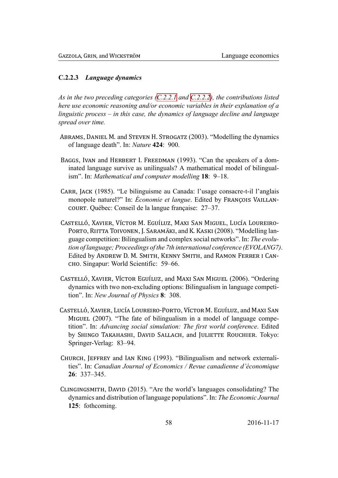### C.2.2.3 Language dynamics

As in the two preceding categories (C.2.2.1 and C.2.2.2), the contributions listed here use economic reasoning and/or economic variables in their explanation of a linguistic process  $-$  in this case, the dynamics of language decline and language spread over time.

- ABRAMS, DANIEL M. and STEVEN H. STROGATZ (2003). "Modelling the dynamics of language death". In: Nature 424: 900.
- BAGGS, IVAN and HERBERT I. FREEDMAN (1993). "Can the speakers of a dominated language survive as unilinguals? A mathematical model of bilingualism". In: Mathematical and computer modelling 18: 9–18.
- CARR, JACK (1985). "Le bilinguisme au Canada: l'usage consacre-t-il l'anglais monopole naturel?" In: *Economie et langue*. Edited by FRANÇOIS VAILLAN-COURT. Québec: Conseil de la langue française: 27–37.
- CASTELLÓ, XAVIER, VÍCTOR M. EGUÍLUZ, MAXI SAN MIGUEL, LUCÍA LOUREIRO-PORTO, RIITTA TOIVONEN, J. SARAMÄKI, and K. KASKI (2008). "Modelling language competition: Bilingualism and complex social networks". In: The evolution of language; Proceedings of the 7th international conference (EVOLANG7). Edited by ANDREW D. M. SMITH, KENNY SMITH, and RAMON FERRER I CANсно. Singapur: World Scientific: 59–66.
- CASTELLÓ, XAVIER, VÍCTOR EGUÍLUZ, and MAXI SAN MIGUEL (2006). "Ordering dynamics with two non-excluding options: Bilingualism in language competition". In: New Journal of Physics 8: 308.
- CASTELLÓ, XAVIER, LUCÍA LOUREIRO-PORTO, VÍCTOR M. EGUÍLUZ, and MAXI SAN MIGUEL (2007). "The fate of bilingualism in a model of language competition". In: Advancing social simulation: The first world conference. Edited by SHINGO TAKAHASHI, DAVID SALLACH, and JULIETTE ROUCHIER. Tokyo: Springer-Verlag: 83–94.
- CHURCH, JEFFREY and IAN KING (1993). "Bilingualism and network externalities". In: Canadian Journal of Economics / Revue canadienne d'économique  $26: 337 - 345.$
- CLINGINGSMITH, DAVID (2015). "Are the world's languages consolidating? The dynamics and distribution of language populations". In: The Economic Journal 125: fothcoming.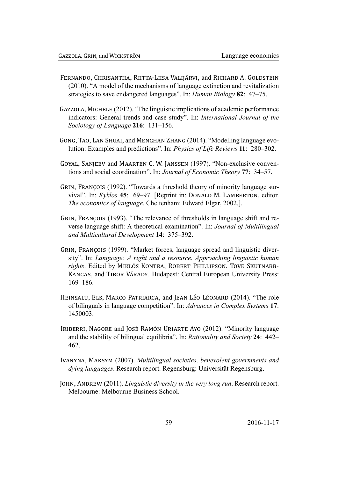- FERNANDO, CHRISANTHA, RIITTA-LIISA VALIJÄRVI, and RICHARD A. GOLDSTEIN (2010). "A model of the mechanisms of language extinction and revitalization strategies to save endangered languages". In: *Human Biology* 82: 47–75.
- GAZZOLA, MICHELE (2012). "The linguistic implications of academic performance indicators: General trends and case study". In: International Journal of the Sociology of Language 216: 131-156.
- GONG, TAO, LAN SHUAI, and MENGHAN ZHANG (2014). "Modelling language evolution: Examples and predictions". In: Physics of Life Reviews 11: 280–302.
- GOYAL, SANJEEV and MAARTEN C. W. JANSSEN (1997). "Non-exclusive conventions and social coordination". In: Journal of Economic Theory 77: 34-57.
- GRIN, FRANÇOIS (1992). "Towards a threshold theory of minority language survival". In: Kyklos 45: 69–97. [Reprint in: DONALD M. LAMBERTON, editor. *The economics of language.* Cheltenham: Edward Elgar, 2002.].
- GRIN, FRANÇOIS (1993). "The relevance of thresholds in language shift and reverse language shift: A theoretical examination". In: *Journal of Multilingual* and Multicultural Development 14: 375-392.
- GRIN, FRANÇOIS (1999). "Market forces, language spread and linguistic diversity". In: Language: A right and a resource. Approaching linguistic human rights. Edited by MIKLÓS KONTRA, ROBERT PHILLIPSON, TOVE SKUTNABB-KANGAS, and TIBOR VÁRADY. Budapest: Central European University Press:  $169 - 186$
- HEINSALU, ELS, MARCO PATRIARCA, and JEAN LÉO LÉONARD (2014). "The role of bilinguals in language competition". In: Advances in Complex Systems 17: 1450003.
- IRIBERRI, NAGORE and JOSÉ RAMÓN URIARTE AYO (2012). "Minority language and the stability of bilingual equilibria". In: Rationality and Society 24: 442– 462
- IVANYNA, MAKSYM (2007). Multilingual societies, benevolent governments and dying languages. Research report. Regensburg: Universität Regensburg.
- JOHN, ANDREW (2011). Linguistic diversity in the very long run. Research report. Melbourne: Melbourne Business School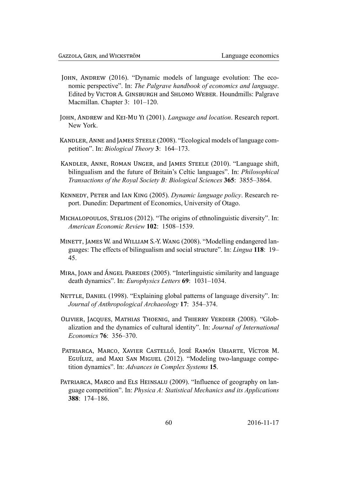- JOHN, ANDREW (2016). "Dynamic models of language evolution: The economic perspective". In: The Palgrave handbook of economics and language. Edited by VICTOR A. GINSBURGH and SHLOMO WEBER. Houndmills: Palgrave Macmillan. Chapter 3: 101-120.
- JOHN, ANDREW and KEI-MU YI (2001). Language and location. Research report. New York.
- KANDLER, ANNE and JAMES STEELE (2008). "Ecological models of language competition". In: *Biological Theory* 3: 164–173.
- KANDLER, ANNE, ROMAN UNGER, and JAMES STEELE (2010). "Language shift, bilingualism and the future of Britain's Celtic languages". In: *Philosophical* Transactions of the Royal Society B: Biological Sciences 365: 3855-3864.
- KENNEDY, PETER and IAN KING (2005). Dynamic language policy. Research report. Dunedin: Department of Economics, University of Otago.
- MICHALOPOULOS, STELIOS (2012). "The origins of ethnolinguistic diversity". In: American Economic Review 102: 1508–1539.
- MINETT, JAMES W. and WILLIAM S.-Y. WANG (2008). "Modelling endangered languages: The effects of bilingualism and social structure". In: Lingua 118: 19– 45.
- MIRA, JOAN and ÁNGEL PAREDES (2005). "Interlinguistic similarity and language death dynamics". In: *Europhysics Letters* 69: 1031-1034.
- NETTLE, DANIEL (1998). "Explaining global patterns of language diversity". In: Journal of Anthropological Archaeology 17: 354-374.
- OLIVIER, JACQUES, MATHIAS THOENIG, and THIERRY VERDIER (2008). "Globalization and the dynamics of cultural identity". In: Journal of International Economics 76: 356-370.
- PATRIARCA, MARCO, XAVIER CASTELLÓ, JOSÉ RAMÓN URIARTE, VÍCTOR M. EGUÍLUZ, and MAXI SAN MIGUEL (2012). "Modeling two-language competition dynamics". In: Advances in Complex Systems 15.
- PATRIARCA, MARCO and ELS HEINSALU (2009). "Influence of geography on language competition". In: *Physica A: Statistical Mechanics and its Applications*  $388: 174 - 186$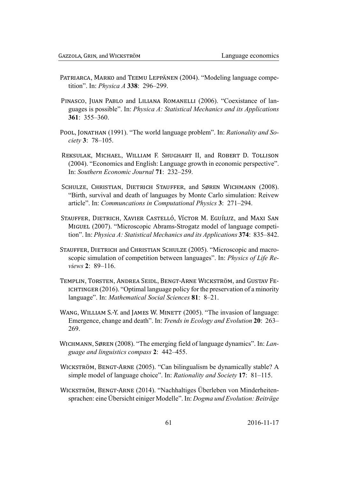- PATRIARCA, MARKO and TEEMU LEPPÄNEN (2004). "Modeling language competition". In: *Physica A* 338: 296–299.
- PINASCO, JUAN PABLO and LILIANA ROMANELLI (2006). "Coexistance of languages is possible". In: *Physica A: Statistical Mechanics and its Applications* 361:  $355 - 360$ .
- POOL, JONATHAN (1991). "The world language problem". In: Rationality and Society 3: 78-105.
- REKSULAK, MICHAEL, WILLIAM F. SHUGHART II, and ROBERT D. TOLLISON (2004). "Economics and English: Language growth in economic perspective". In: Southern Economic Journal 71: 232–259.
- SCHULZE, CHRISTIAN, DIETRICH STAUFFER, and SØREN WICHMANN (2008). "Birth, survival and death of languages by Monte Carlo simulation: Reivew article". In: Communcations in Computational Physics 3: 271–294.
- STAUFFER, DIETRICH, XAVIER CASTELLÓ, VÍCTOR M. EGUÍLUZ, and MAXI SAN MIGUEL (2007). "Microscopic Abrams-Strogatz model of language competition". In: Physica A: Statistical Mechanics and its Applications 374: 835–842.
- STAUFFER, DIETRICH and CHRISTIAN SCHULZE (2005). "Microscopic and macroscopic simulation of competition between languages". In: Physics of Life Reviews  $2 \cdot 89 - 116$
- TEMPLIN, TORSTEN, ANDREA SEIDL, BENGT-ARNE WICKSTRÖM, and GUSTAV FE-ICHTINGER  $(2016)$ . "Optimal language policy for the preservation of a minority language". In: Mathematical Social Sciences 81: 8-21.
- WANG, WILLIAM S.-Y. and JAMES W. MINETT (2005). "The invasion of language: Emergence, change and death". In: Trends in Ecology and Evolution 20: 263– 269.
- WICHMANN, SØREN (2008). "The emerging field of language dynamics". In: Language and linguistics compass 2: 442-455.
- WICKSTRÖM, BENGT-ARNE (2005). "Can bilingualism be dynamically stable? A simple model of language choice". In: Rationality and Society 17: 81–115.
- WICKSTRÖM, BENGT-ARNE (2014). "Nachhaltiges Überleben von Minderheitensprachen: eine Übersicht einiger Modelle". In: Dogma und Evolution: Beiträge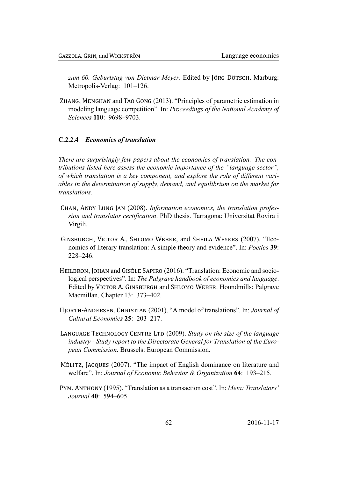zum 60. Geburtstag von Dietmar Meyer. Edited by JÖRG DÖTSCH. Marburg: Metropolis-Verlag: 101-126.

ZHANG, MENGHAN and TAO GONG (2013). "Principles of parametric estimation in modeling language competition". In: Proceedings of the National Academy of Sciences 110: 9698-9703.

### <span id="page-62-0"></span>**C.2.2.4** Economics of translation

There are surprisingly few papers about the economics of translation. The contributions listed here assess the economic importance of the "language sector", of which translation is a key component, and explore the role of different variables in the determination of supply, demand, and equilibrium on the market for translations.

- CHAN, ANDY LUNG JAN (2008). Information economics, the translation profession and translator certification. PhD thesis. Tarragona: Universitat Rovira i Virgili.
- GINSBURGH, VICTOR A., SHLOMO WEBER, and SHEILA WEYERS (2007). "Economics of literary translation: A simple theory and evidence". In: Poetics 39:  $228 - 246$ .
- HEILBRON, JOHAN and GISÈLE SAPIRO (2016). "Translation: Economic and sociological perspectives". In: The Palgrave handbook of economics and language. Edited by VICTOR A. GINSBURGH and SHLOMO WEBER. Houndmills: Palgrave Macmillan. Chapter 13: 373-402.
- HIORTH-ANDERSEN, CHRISTIAN (2001). "A model of translations". In: Journal of Cultural Economics 25: 203-217.
- LANGUAGE TECHNOLOGY CENTRE LTD (2009). Study on the size of the language industry - Study report to the Directorate General for Translation of the European Commission. Brussels: European Commission.
- Mélastriz, Jacours (2007). "The impact of English dominance on literature and welfare". In: Journal of Economic Behavior & Organization 64: 193-215.
- PYM, ANTHONY (1995). "Translation as a transaction cost". In: Meta: Translators' Journal 40: 594–605.